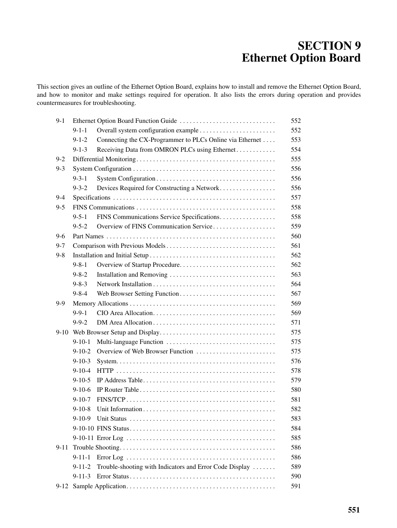# **SECTION 9 Ethernet Option Board**

This section gives an outline of the Ethernet Option Board, explains how to install and remove the Ethernet Option Board, and how to monitor and make settings required for operation. It also lists the errors during operation and provides countermeasures for troubleshooting.

| $9-1$    |              |                                                          |
|----------|--------------|----------------------------------------------------------|
|          | $9 - 1 - 1$  |                                                          |
|          | $9 - 1 - 2$  | Connecting the CX-Programmer to PLCs Online via Ethernet |
|          | $9 - 1 - 3$  | Receiving Data from OMRON PLCs using Ethernet            |
| $9 - 2$  |              |                                                          |
| $9 - 3$  |              |                                                          |
|          | $9 - 3 - 1$  |                                                          |
|          | $9 - 3 - 2$  | Devices Required for Constructing a Network              |
| 9-4      |              |                                                          |
| $9 - 5$  |              |                                                          |
|          | $9 - 5 - 1$  | FINS Communications Service Specifications               |
|          | $9 - 5 - 2$  | Overview of FINS Communication Service                   |
| 9-6      |              |                                                          |
| $9 - 7$  |              |                                                          |
| $9 - 8$  |              |                                                          |
|          | $9 - 8 - 1$  | Overview of Startup Procedure                            |
|          | $9 - 8 - 2$  |                                                          |
|          | $9 - 8 - 3$  |                                                          |
|          | $9 - 8 - 4$  |                                                          |
| 9-9      |              |                                                          |
|          | $9 - 9 - 1$  |                                                          |
|          | $9 - 9 - 2$  |                                                          |
| $9-10$   |              |                                                          |
|          | $9-10-1$     |                                                          |
|          | $9-10-2$     | Overview of Web Browser Function                         |
|          | $9 - 10 - 3$ |                                                          |
|          | $9 - 10 - 4$ |                                                          |
|          | $9 - 10 - 5$ |                                                          |
|          | $9-10-6$     |                                                          |
|          | $9 - 10 - 7$ |                                                          |
|          | $9-10-8$     |                                                          |
|          | $9 - 10 - 9$ |                                                          |
|          |              |                                                          |
|          |              |                                                          |
| $9 - 11$ |              |                                                          |
|          | $9 - 11 - 1$ |                                                          |
|          | $9 - 11 - 2$ | Trouble-shooting with Indicators and Error Code Display  |
|          | $9 - 11 - 3$ |                                                          |
|          |              |                                                          |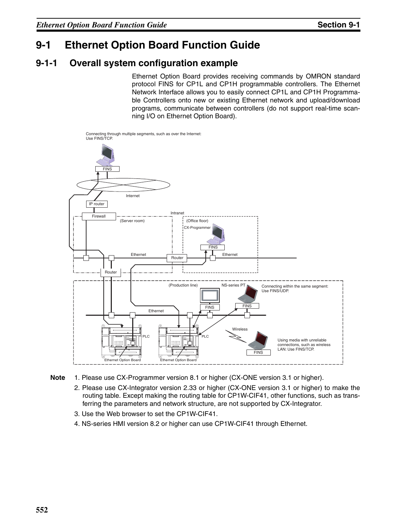# **9-1 Ethernet Option Board Function Guide**

## **9-1-1 Overall system configuration example**

Ethernet Option Board provides receiving commands by OMRON standard protocol FINS for CP1L and CP1H programmable controllers. The Ethernet Network Interface allows you to easily connect CP1L and CP1H Programmable Controllers onto new or existing Ethernet network and upload/download programs, communicate between controllers (do not support real-time scanning I/O on Ethernet Option Board).



Connecting through multiple segments, such as over the Internet:



- 2. Please use CX-Integrator version 2.33 or higher (CX-ONE version 3.1 or higher) to make the routing table. Except making the routing table for CP1W-CIF41, other functions, such as transferring the parameters and network structure, are not supported by CX-Integrator.
- 3. Use the Web browser to set the CP1W-CIF41.
- 4. NS-series HMI version 8.2 or higher can use CP1W-CIF41 through Ethernet.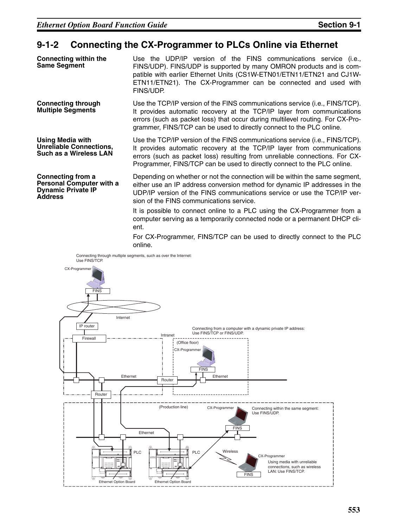### **9-1-2 Connecting the CX-Programmer to PLCs Online via Ethernet**

| <b>Connecting within the</b><br><b>Same Segment</b>                                                 | Use the UDP/IP version of the FINS communications service (i.e.,<br>FINS/UDP). FINS/UDP is supported by many OMRON products and is com-<br>patible with earlier Ethernet Units (CS1W-ETN01/ETN11/ETN21 and CJ1W-<br>ETN11/ETN21). The CX-Programmer can be connected and used with<br>FINS/UDP.                 |
|-----------------------------------------------------------------------------------------------------|-----------------------------------------------------------------------------------------------------------------------------------------------------------------------------------------------------------------------------------------------------------------------------------------------------------------|
| <b>Connecting through</b><br><b>Multiple Segments</b>                                               | Use the TCP/IP version of the FINS communications service (i.e., FINS/TCP).<br>It provides automatic recovery at the TCP/IP layer from communications<br>errors (such as packet loss) that occur during multilevel routing. For CX-Pro-<br>grammer, FINS/TCP can be used to directly connect to the PLC online. |
| <b>Using Media with</b><br><b>Unreliable Connections,</b><br><b>Such as a Wireless LAN</b>          | Use the TCP/IP version of the FINS communications service (i.e., FINS/TCP).<br>It provides automatic recovery at the TCP/IP layer from communications<br>errors (such as packet loss) resulting from unreliable connections. For CX-<br>Programmer, FINS/TCP can be used to directly connect to the PLC online. |
| Connecting from a<br><b>Personal Computer with a</b><br><b>Dynamic Private IP</b><br><b>Address</b> | Depending on whether or not the connection will be within the same segment,<br>either use an IP address conversion method for dynamic IP addresses in the<br>UDP/IP version of the FINS communications service or use the TCP/IP ver-<br>sion of the FINS communications service.                               |

It is possible to connect online to a PLC using the CX-Programmer from a computer serving as a temporarily connected node or a permanent DHCP client.

For CX-Programmer, FINS/TCP can be used to directly connect to the PLC online.

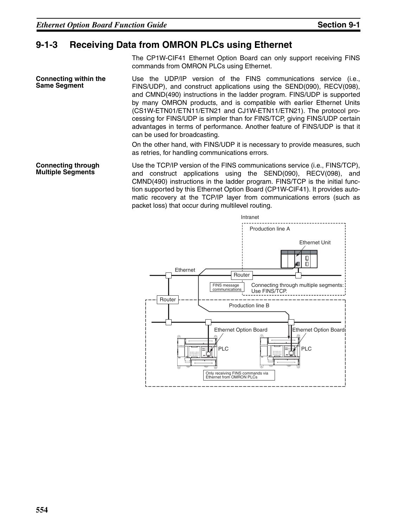### **9-1-3 Receiving Data from OMRON PLCs using Ethernet**

The CP1W-CIF41 Ethernet Option Board can only support receiving FINS commands from OMRON PLCs using Ethernet.

**Connecting within the Same Segment** Use the UDP/IP version of the FINS communications service (i.e., FINS/UDP), and construct applications using the SEND(090), RECV(098), and CMND(490) instructions in the ladder program. FINS/UDP is supported by many OMRON products, and is compatible with earlier Ethernet Units (CS1W-ETN01/ETN11/ETN21 and CJ1W-ETN11/ETN21). The protocol processing for FINS/UDP is simpler than for FINS/TCP, giving FINS/UDP certain advantages in terms of performance. Another feature of FINS/UDP is that it can be used for broadcasting.

> On the other hand, with FINS/UDP it is necessary to provide measures, such as retries, for handling communications errors.

**Connecting through**  Use the TCP/IP version of the FINS communications service (i.e., FINS/TCP), and construct applications using the SEND(090), RECV(098), and CMND(490) instructions in the ladder program. FINS/TCP is the initial function supported by this Ethernet Option Board (CP1W-CIF41). It provides automatic recovery at the TCP/IP layer from communications errors (such as packet loss) that occur during multilevel routing.



**Multiple Segments**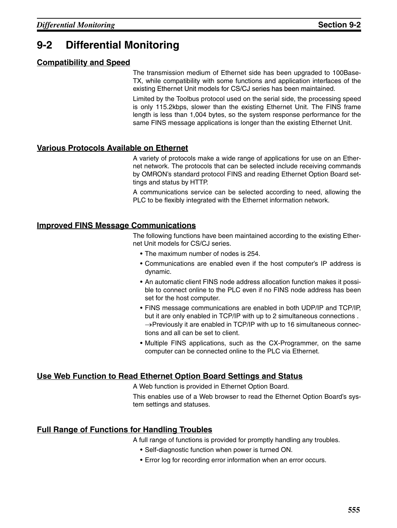# **9-2 Differential Monitoring**

### **Compatibility and Speed**

The transmission medium of Ethernet side has been upgraded to 100Base-TX, while compatibility with some functions and application interfaces of the existing Ethernet Unit models for CS/CJ series has been maintained.

Limited by the Toolbus protocol used on the serial side, the processing speed is only 115.2kbps, slower than the existing Ethernet Unit. The FINS frame length is less than 1,004 bytes, so the system response performance for the same FINS message applications is longer than the existing Ethernet Unit.

### **Various Protocols Available on Ethernet**

A variety of protocols make a wide range of applications for use on an Ethernet network. The protocols that can be selected include receiving commands by OMRON's standard protocol FINS and reading Ethernet Option Board settings and status by HTTP.

A communications service can be selected according to need, allowing the PLC to be flexibly integrated with the Ethernet information network.

### **Improved FINS Message Communications**

The following functions have been maintained according to the existing Ethernet Unit models for CS/CJ series.

- The maximum number of nodes is 254.
- Communications are enabled even if the host computer's IP address is dynamic.
- An automatic client FINS node address allocation function makes it possible to connect online to the PLC even if no FINS node address has been set for the host computer.
- FINS message communications are enabled in both UDP/IP and TCP/IP, but it are only enabled in TCP/IP with up to 2 simultaneous connections .  $\rightarrow$ Previously it are enabled in TCP/IP with up to 16 simultaneous connections and all can be set to client.
- Multiple FINS applications, such as the CX-Programmer, on the same computer can be connected online to the PLC via Ethernet.

### **Use Web Function to Read Ethernet Option Board Settings and Status**

A Web function is provided in Ethernet Option Board.

This enables use of a Web browser to read the Ethernet Option Board's system settings and statuses.

### **Full Range of Functions for Handling Troubles**

A full range of functions is provided for promptly handling any troubles.

- Self-diagnostic function when power is turned ON.
- Error log for recording error information when an error occurs.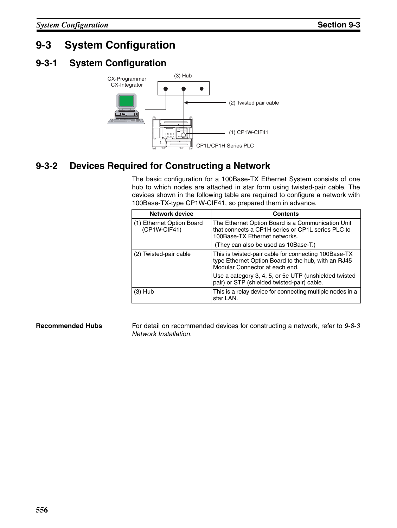# **9-3 System Configuration**

# **9-3-1 System Configuration**



# **9-3-2 Devices Required for Constructing a Network**

The basic configuration for a 100Base-TX Ethernet System consists of one hub to which nodes are attached in star form using twisted-pair cable. The devices shown in the following table are required to configure a network with 100Base-TX-type CP1W-CIF41, so prepared them in advance.

| <b>Network device</b>                       | <b>Contents</b>                                                                                                                               |  |
|---------------------------------------------|-----------------------------------------------------------------------------------------------------------------------------------------------|--|
| (1) Ethernet Option Board<br>$(CP1W-CIF41)$ | The Ethernet Option Board is a Communication Unit<br>that connects a CP1H series or CP1L series PLC to<br>100Base-TX Ethernet networks.       |  |
|                                             | (They can also be used as 10Base-T.)                                                                                                          |  |
| (2) Twisted-pair cable                      | This is twisted-pair cable for connecting 100Base-TX<br>type Ethernet Option Board to the hub, with an RJ45<br>Modular Connector at each end. |  |
|                                             | Use a category 3, 4, 5, or 5e UTP (unshielded twisted<br>pair) or STP (shielded twisted-pair) cable.                                          |  |
| $(3)$ Hub                                   | This is a relay device for connecting multiple nodes in a<br>star LAN.                                                                        |  |

**Recommended Hubs** For detail on recommended devices for constructing a network, refer to 9-8-3 Network Installation.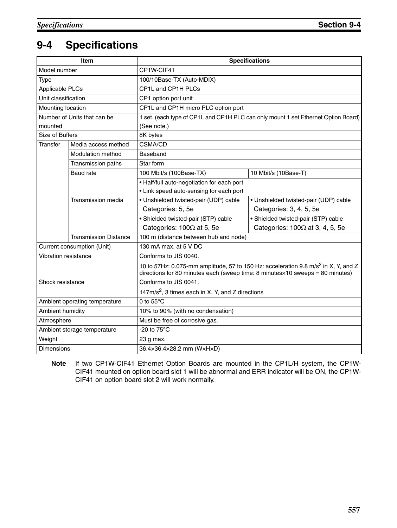# **9-4 Specifications**

| <b>Item</b>                   |                              | <b>Specifications</b>                                                                                                                                                                    |                                                                                    |  |
|-------------------------------|------------------------------|------------------------------------------------------------------------------------------------------------------------------------------------------------------------------------------|------------------------------------------------------------------------------------|--|
| Model number                  |                              | CP1W-CIF41                                                                                                                                                                               |                                                                                    |  |
| <b>Type</b>                   |                              | 100/10Base-TX (Auto-MDIX)                                                                                                                                                                |                                                                                    |  |
| Applicable PLCs               |                              | CP1L and CP1H PLCs                                                                                                                                                                       |                                                                                    |  |
| Unit classification           |                              | CP1 option port unit                                                                                                                                                                     |                                                                                    |  |
| Mounting location             |                              | CP1L and CP1H micro PLC option port                                                                                                                                                      |                                                                                    |  |
| Number of Units that can be   |                              |                                                                                                                                                                                          | 1 set. (each type of CP1L and CP1H PLC can only mount 1 set Ethernet Option Board) |  |
| mounted                       |                              | (See note.)                                                                                                                                                                              |                                                                                    |  |
| Size of Buffers               |                              | 8K bytes                                                                                                                                                                                 |                                                                                    |  |
| <b>Transfer</b>               | Media access method          | CSMA/CD                                                                                                                                                                                  |                                                                                    |  |
|                               | <b>Modulation method</b>     | Baseband                                                                                                                                                                                 |                                                                                    |  |
|                               | Transmission paths           | Star form                                                                                                                                                                                |                                                                                    |  |
|                               | <b>Baud</b> rate             | 100 Mbit/s (100Base-TX)                                                                                                                                                                  | 10 Mbit/s (10Base-T)                                                               |  |
|                               |                              | • Half/full auto-negotiation for each port                                                                                                                                               |                                                                                    |  |
|                               |                              | • Link speed auto-sensing for each port                                                                                                                                                  |                                                                                    |  |
|                               | Transmission media           | · Unshielded twisted-pair (UDP) cable                                                                                                                                                    | · Unshielded twisted-pair (UDP) cable                                              |  |
|                               |                              | Categories: 5, 5e                                                                                                                                                                        | Categories: 3, 4, 5, 5e                                                            |  |
|                               |                              | · Shielded twisted-pair (STP) cable                                                                                                                                                      | · Shielded twisted-pair (STP) cable                                                |  |
|                               |                              | Categories: $100\Omega$ at 5, 5e                                                                                                                                                         | Categories: $100\Omega$ at 3, 4, 5, 5e                                             |  |
|                               | <b>Transmission Distance</b> | 100 m (distance between hub and node)                                                                                                                                                    |                                                                                    |  |
|                               | Current consumption (Unit)   | 130 mA max. at 5 V DC                                                                                                                                                                    |                                                                                    |  |
| Vibration resistance          |                              | Conforms to JIS 0040.                                                                                                                                                                    |                                                                                    |  |
|                               |                              | 10 to 57Hz: 0.075-mm amplitude, 57 to 150 Hz: acceleration 9.8 m/s <sup>2</sup> in X, Y, and Z<br>directions for 80 minutes each (sweep time: 8 minutes $\times$ 10 sweeps = 80 minutes) |                                                                                    |  |
| Shock resistance              |                              | Conforms to JIS 0041.                                                                                                                                                                    |                                                                                    |  |
|                               |                              | 147 $m/s2$ , 3 times each in X, Y, and Z directions                                                                                                                                      |                                                                                    |  |
| Ambient operating temperature |                              | 0 to $55^{\circ}$ C                                                                                                                                                                      |                                                                                    |  |
| Ambient humidity              |                              | 10% to 90% (with no condensation)                                                                                                                                                        |                                                                                    |  |
| Atmosphere                    |                              | Must be free of corrosive gas.                                                                                                                                                           |                                                                                    |  |
| Ambient storage temperature   |                              | -20 to 75°C                                                                                                                                                                              |                                                                                    |  |
| Weight                        |                              | 23 g max.                                                                                                                                                                                |                                                                                    |  |
| <b>Dimensions</b>             |                              | 36.4×36.4×28.2 mm (WxHxD)                                                                                                                                                                |                                                                                    |  |

**Note** If two CP1W-CIF41 Ethernet Option Boards are mounted in the CP1L/H system, the CP1W-CIF41 mounted on option board slot 1 will be abnormal and ERR indicator will be ON, the CP1W-CIF41 on option board slot 2 will work normally.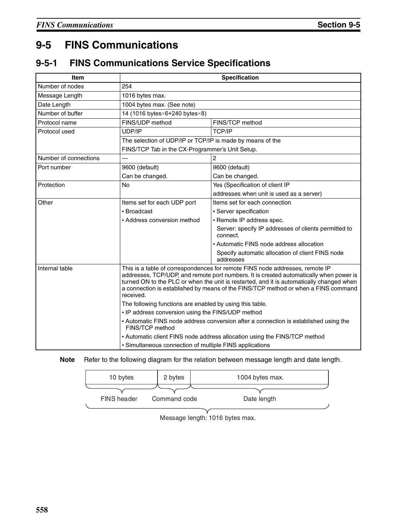# **9-5 FINS Communications**

# **9-5-1 FINS Communications Service Specifications**

| Item                                                                                                                                                                                                                                                                                                                                                                                    | <b>Specification</b>                                                                                    |                                                                  |  |  |
|-----------------------------------------------------------------------------------------------------------------------------------------------------------------------------------------------------------------------------------------------------------------------------------------------------------------------------------------------------------------------------------------|---------------------------------------------------------------------------------------------------------|------------------------------------------------------------------|--|--|
| Number of nodes                                                                                                                                                                                                                                                                                                                                                                         | 254                                                                                                     |                                                                  |  |  |
| Message Length                                                                                                                                                                                                                                                                                                                                                                          | 1016 bytes max.                                                                                         |                                                                  |  |  |
| Date Length                                                                                                                                                                                                                                                                                                                                                                             | 1004 bytes max. (See note)                                                                              |                                                                  |  |  |
| Number of buffer                                                                                                                                                                                                                                                                                                                                                                        | 14 (1016 bytes×6+240 bytes×8)                                                                           |                                                                  |  |  |
| Protocol name                                                                                                                                                                                                                                                                                                                                                                           | FINS/UDP method                                                                                         | FINS/TCP method                                                  |  |  |
| Protocol used                                                                                                                                                                                                                                                                                                                                                                           | UDP/IP                                                                                                  | <b>TCP/IP</b>                                                    |  |  |
|                                                                                                                                                                                                                                                                                                                                                                                         | The selection of UDP/IP or TCP/IP is made by means of the                                               |                                                                  |  |  |
|                                                                                                                                                                                                                                                                                                                                                                                         | FINS/TCP Tab in the CX-Programmer's Unit Setup.                                                         |                                                                  |  |  |
| Number of connections                                                                                                                                                                                                                                                                                                                                                                   |                                                                                                         | $\overline{c}$                                                   |  |  |
| Port number                                                                                                                                                                                                                                                                                                                                                                             | 9600 (default)                                                                                          | 9600 (default)                                                   |  |  |
|                                                                                                                                                                                                                                                                                                                                                                                         | Can be changed.                                                                                         | Can be changed.                                                  |  |  |
| Protection                                                                                                                                                                                                                                                                                                                                                                              | Yes (Specification of client IP<br><b>No</b>                                                            |                                                                  |  |  |
|                                                                                                                                                                                                                                                                                                                                                                                         |                                                                                                         | addresses when unit is used as a server)                         |  |  |
| Other                                                                                                                                                                                                                                                                                                                                                                                   | Items set for each UDP port                                                                             | Items set for each connection                                    |  |  |
|                                                                                                                                                                                                                                                                                                                                                                                         | • Broadcast                                                                                             | • Server specification                                           |  |  |
|                                                                                                                                                                                                                                                                                                                                                                                         | • Address conversion method                                                                             | · Remote IP address spec.                                        |  |  |
|                                                                                                                                                                                                                                                                                                                                                                                         |                                                                                                         | Server: specify IP addresses of clients permitted to<br>connect. |  |  |
|                                                                                                                                                                                                                                                                                                                                                                                         |                                                                                                         | • Automatic FINS node address allocation                         |  |  |
|                                                                                                                                                                                                                                                                                                                                                                                         |                                                                                                         | Specify automatic allocation of client FINS node<br>addresses    |  |  |
| Internal table<br>This is a table of correspondences for remote FINS node addresses, remote IP<br>addresses, TCP/UDP, and remote port numbers. It is created automatically when power is<br>turned ON to the PLC or when the unit is restarted, and it is automatically changed when<br>a connection is established by means of the FINS/TCP method or when a FINS command<br>received. |                                                                                                         |                                                                  |  |  |
|                                                                                                                                                                                                                                                                                                                                                                                         | The following functions are enabled by using this table.                                                |                                                                  |  |  |
|                                                                                                                                                                                                                                                                                                                                                                                         | • IP address conversion using the FINS/UDP method                                                       |                                                                  |  |  |
|                                                                                                                                                                                                                                                                                                                                                                                         | • Automatic FINS node address conversion after a connection is established using the<br>FINS/TCP method |                                                                  |  |  |
|                                                                                                                                                                                                                                                                                                                                                                                         | • Automatic client FINS node address allocation using the FINS/TCP method                               |                                                                  |  |  |
|                                                                                                                                                                                                                                                                                                                                                                                         | • Simultaneous connection of multiple FINS applications                                                 |                                                                  |  |  |

**Note** Refer to the following diagram for the relation between message length and date length.

| 10 bytes    | 2 bytes      | 1004 bytes max. |
|-------------|--------------|-----------------|
|             |              |                 |
| FINS header | Command code | Date length     |
|             |              |                 |

Message length: 1016 bytes max.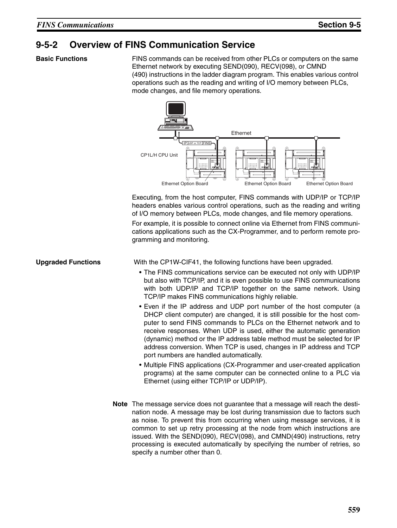## **9-5-2 Overview of FINS Communication Service**

**Basic Functions** FINS commands can be received from other PLCs or computers on the same Ethernet network by executing SEND(090), RECV(098), or CMND (490) instructions in the ladder diagram program. This enables various control operations such as the reading and writing of I/O memory between PLCs, mode changes, and file memory operations.



Executing, from the host computer, FINS commands with UDP/IP or TCP/IP headers enables various control operations, such as the reading and writing of I/O memory between PLCs, mode changes, and file memory operations.

For example, it is possible to connect online via Ethernet from FINS communications applications such as the CX-Programmer, and to perform remote programming and monitoring.

**Upgraded Functions** With the CP1W-CIF41, the following functions have been upgraded.

- The FINS communications service can be executed not only with UDP/IP but also with TCP/IP, and it is even possible to use FINS communications with both UDP/IP and TCP/IP together on the same network. Using TCP/IP makes FINS communications highly reliable.
- Even if the IP address and UDP port number of the host computer (a DHCP client computer) are changed, it is still possible for the host computer to send FINS commands to PLCs on the Ethernet network and to receive responses. When UDP is used, either the automatic generation (dynamic) method or the IP address table method must be selected for IP address conversion. When TCP is used, changes in IP address and TCP port numbers are handled automatically.
- Multiple FINS applications (CX-Programmer and user-created application programs) at the same computer can be connected online to a PLC via Ethernet (using either TCP/IP or UDP/IP).
- **Note** The message service does not guarantee that a message will reach the destination node. A message may be lost during transmission due to factors such as noise. To prevent this from occurring when using message services, it is common to set up retry processing at the node from which instructions are issued. With the SEND(090), RECV(098), and CMND(490) instructions, retry processing is executed automatically by specifying the number of retries, so specify a number other than 0.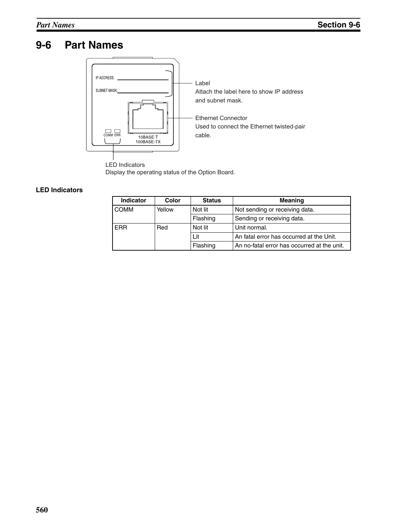# **9-6 Part Names**



Display the operating status of the Option Board.

#### **LED Indicators**

| Indicator   | Color  | <b>Status</b> | <b>Meaning</b>                              |  |
|-------------|--------|---------------|---------------------------------------------|--|
| <b>COMM</b> | Yellow | Not lit       | Not sending or receiving data.              |  |
|             |        | Flashing      | Sending or receiving data.                  |  |
| <b>FRR</b>  | Red    | Not lit       | Unit normal.                                |  |
|             |        | Lit           | An fatal error has occurred at the Unit.    |  |
|             |        | Flashing      | An no-fatal error has occurred at the unit. |  |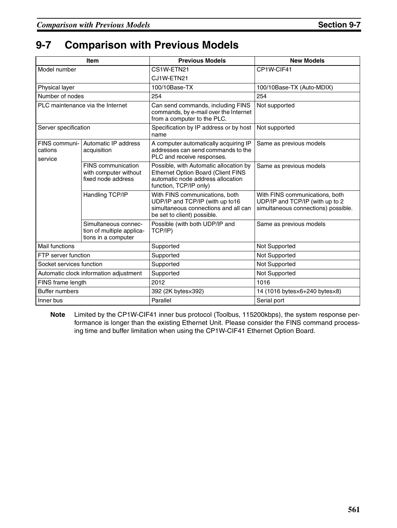# **9-7 Comparison with Previous Models**

|                                        | <b>Item</b>                                                              | <b>Previous Models</b>                                                                                                                             | <b>New Models</b>                                                                                        |
|----------------------------------------|--------------------------------------------------------------------------|----------------------------------------------------------------------------------------------------------------------------------------------------|----------------------------------------------------------------------------------------------------------|
| Model number                           |                                                                          | CS1W-ETN21                                                                                                                                         | CP1W-CIF41                                                                                               |
|                                        |                                                                          | CJ1W-ETN21                                                                                                                                         |                                                                                                          |
| Physical layer                         |                                                                          | 100/10Base-TX                                                                                                                                      | 100/10Base-TX (Auto-MDIX)                                                                                |
| Number of nodes                        |                                                                          | 254                                                                                                                                                | 254                                                                                                      |
| PLC maintenance via the Internet       |                                                                          | Can send commands, including FINS<br>commands, by e-mail over the Internet<br>from a computer to the PLC.                                          | Not supported                                                                                            |
| Server specification                   |                                                                          | Specification by IP address or by host<br>name                                                                                                     | Not supported                                                                                            |
| FINS communi-<br>cations<br>service    | Automatic IP address<br>acquisition                                      | A computer automatically acquiring IP<br>addresses can send commands to the<br>PLC and receive responses.                                          | Same as previous models                                                                                  |
|                                        | FINS communication<br>with computer without<br>fixed node address        | Possible, with Automatic allocation by<br><b>Ethernet Option Board (Client FINS</b><br>automatic node address allocation<br>function, TCP/IP only) | Same as previous models                                                                                  |
|                                        | Handling TCP/IP                                                          | With FINS communications, both<br>UDP/IP and TCP/IP (with up to16<br>simultaneous connections and all can<br>be set to client) possible.           | With FINS communications, both<br>UDP/IP and TCP/IP (with up to 2<br>simultaneous connections) possible. |
|                                        | Simultaneous connec-<br>tion of multiple applica-<br>tions in a computer | Possible (with both UDP/IP and<br>TCP/IP)                                                                                                          | Same as previous models                                                                                  |
| Mail functions                         |                                                                          | Supported                                                                                                                                          | Not Supported                                                                                            |
| FTP server function                    |                                                                          | Supported                                                                                                                                          | Not Supported                                                                                            |
| Socket services function               |                                                                          | Supported                                                                                                                                          | Not Supported                                                                                            |
| Automatic clock information adjustment |                                                                          | Supported                                                                                                                                          | <b>Not Supported</b>                                                                                     |
| FINS frame length                      |                                                                          | 2012                                                                                                                                               | 1016                                                                                                     |
| <b>Buffer numbers</b>                  |                                                                          | 392 (2K bytes×392)                                                                                                                                 | 14 (1016 bytesx6+240 bytesx8)                                                                            |
| Inner bus                              |                                                                          | Parallel                                                                                                                                           | Serial port                                                                                              |

**Note** Limited by the CP1W-CIF41 inner bus protocol (Toolbus, 115200kbps), the system response performance is longer than the existing Ethernet Unit. Please consider the FINS command processing time and buffer limitation when using the CP1W-CIF41 Ethernet Option Board.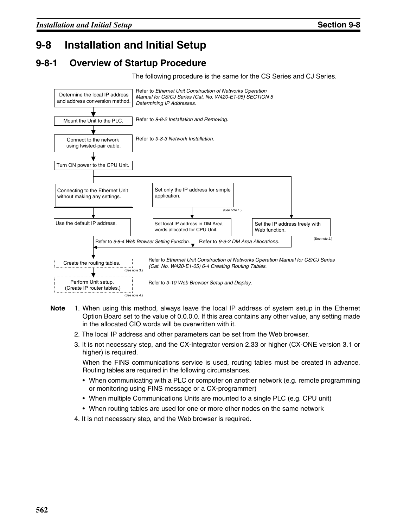# **9-8 Installation and Initial Setup**

## **9-8-1 Overview of Startup Procedure**

The following procedure is the same for the CS Series and CJ Series.



- **Note** 1. When using this method, always leave the local IP address of system setup in the Ethernet Option Board set to the value of 0.0.0.0. If this area contains any other value, any setting made in the allocated CIO words will be overwritten with it.
	- 2. The local IP address and other parameters can be set from the Web browser.
	- 3. It is not necessary step, and the CX-Integrator version 2.33 or higher (CX-ONE version 3.1 or higher) is required.

When the FINS communications service is used, routing tables must be created in advance. Routing tables are required in the following circumstances.

- When communicating with a PLC or computer on another network (e.g. remote programming or monitoring using FINS message or a CX-programmer)
- When multiple Communications Units are mounted to a single PLC (e.g. CPU unit)
- When routing tables are used for one or more other nodes on the same network
- 4. It is not necessary step, and the Web browser is required.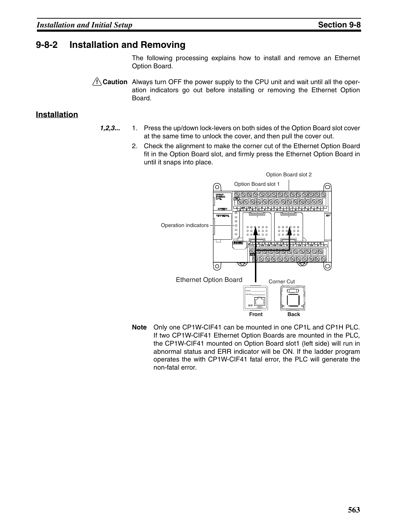### **9-8-2 Installation and Removing**

The following processing explains how to install and remove an Ethernet Option Board.

 $\sqrt{N}$  Caution Always turn OFF the power supply to the CPU unit and wait until all the operation indicators go out before installing or removing the Ethernet Option Board.

#### **Installation**

- *1,2,3...* 1. Press the up/down lock-levers on both sides of the Option Board slot cover at the same time to unlock the cover, and then pull the cover out.
	- 2. Check the alignment to make the corner cut of the Ethernet Option Board fit in the Option Board slot, and firmly press the Ethernet Option Board in until it snaps into place.



**Note** Only one CP1W-CIF41 can be mounted in one CP1L and CP1H PLC. If two CP1W-CIF41 Ethernet Option Boards are mounted in the PLC, the CP1W-CIF41 mounted on Option Board slot1 (left side) will run in abnormal status and ERR indicator will be ON. If the ladder program operates the with CP1W-CIF41 fatal error, the PLC will generate the non-fatal error.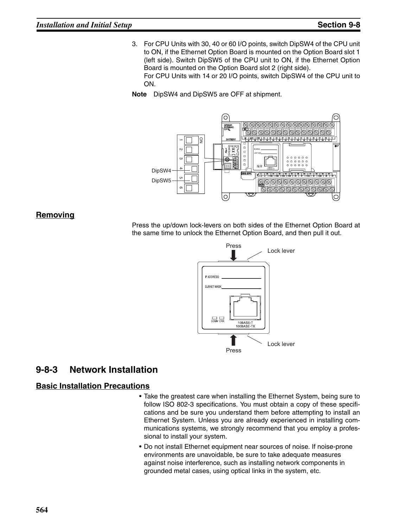3. For CPU Units with 30, 40 or 60 I/O points, switch DipSW4 of the CPU unit to ON, if the Ethernet Option Board is mounted on the Option Board slot 1 (left side). Switch DipSW5 of the CPU unit to ON, if the Ethernet Option Board is mounted on the Option Board slot 2 (right side). For CPU Units with 14 or 20 I/O points, switch DipSW4 of the CPU unit to ON.

**Note** DipSW4 and DipSW5 are OFF at shipment.



#### **Removing**

Press the up/down lock-levers on both sides of the Ethernet Option Board at the same time to unlock the Ethernet Option Board, and then pull it out.



### **9-8-3 Network Installation**

#### **Basic Installation Precautions**

- Take the greatest care when installing the Ethernet System, being sure to follow ISO 802-3 specifications. You must obtain a copy of these specifications and be sure you understand them before attempting to install an Ethernet System. Unless you are already experienced in installing communications systems, we strongly recommend that you employ a professional to install your system.
- Do not install Ethernet equipment near sources of noise. If noise-prone environments are unavoidable, be sure to take adequate measures against noise interference, such as installing network components in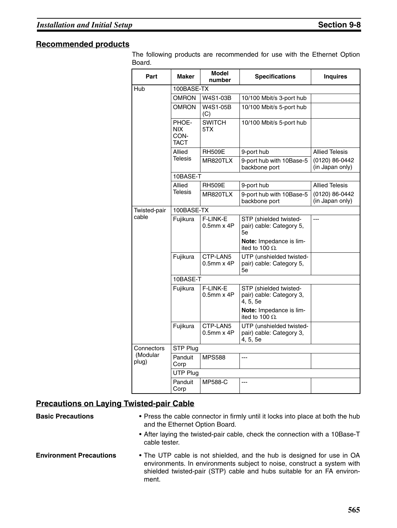#### **Recommended products**

The following products are recommended for use with the Ethernet Option Board.

| Part              | Maker                               | <b>Model</b><br>number      | <b>Specifications</b>                                            | <b>Inquires</b>                   |  |  |
|-------------------|-------------------------------------|-----------------------------|------------------------------------------------------------------|-----------------------------------|--|--|
| Hub               | 100BASE-TX                          |                             |                                                                  |                                   |  |  |
|                   | <b>OMRON</b>                        | W4S1-03B                    | 10/100 Mbit/s 3-port hub                                         |                                   |  |  |
|                   | <b>OMRON</b>                        | W4S1-05B<br>(C)             | 10/100 Mbit/s 5-port hub                                         |                                   |  |  |
|                   | PHOE-<br><b>NIX</b><br>CON-<br>TACT | <b>SWITCH</b><br>5TX        | 10/100 Mbit/s 5-port hub                                         |                                   |  |  |
|                   | Allied                              | <b>RH509E</b>               | 9-port hub                                                       | <b>Allied Telesis</b>             |  |  |
|                   | <b>Telesis</b>                      | MR820TLX                    | 9-port hub with 10Base-5<br>backbone port                        | (0120) 86-0442<br>(in Japan only) |  |  |
|                   | 10BASE-T                            |                             |                                                                  |                                   |  |  |
|                   | Allied                              | <b>RH509E</b>               | 9-port hub                                                       | <b>Allied Telesis</b>             |  |  |
|                   | Telesis                             | MR820TLX                    | 9-port hub with 10Base-5<br>backbone port                        | (0120) 86-0442<br>(in Japan only) |  |  |
| Twisted-pair      | 100BASE-TX                          |                             |                                                                  |                                   |  |  |
| cable             | Fujikura                            | F-LINK-E<br>$0.5$ mm $x$ 4P | STP (shielded twisted-<br>pair) cable: Category 5,<br>5е         | ---                               |  |  |
|                   |                                     |                             | Note: Impedance is lim-<br>ited to 100 $\Omega$ .                |                                   |  |  |
|                   | Fujikura                            | CTP-LAN5<br>$0.5$ mm $x$ 4P | UTP (unshielded twisted-<br>pair) cable: Category 5,<br>5e       |                                   |  |  |
|                   | 10BASE-T                            |                             |                                                                  |                                   |  |  |
|                   | Fujikura                            | F-LINK-E<br>$0.5$ mm $x$ 4P | STP (shielded twisted-<br>pair) cable: Category 3,<br>4, 5, 5e   |                                   |  |  |
|                   |                                     |                             | Note: Impedance is lim-<br>ited to 100 $\Omega$ .                |                                   |  |  |
|                   | Fujikura                            | CTP-LAN5<br>$0.5$ mm $x$ 4P | UTP (unshielded twisted-<br>pair) cable: Category 3,<br>4, 5, 5e |                                   |  |  |
| Connectors        | STP Plug                            |                             |                                                                  |                                   |  |  |
| (Modular<br>plug) | Panduit<br>Corp                     | <b>MPS588</b>               | ---                                                              |                                   |  |  |
|                   | UTP Plug                            |                             |                                                                  |                                   |  |  |
|                   | Panduit<br>Corp                     | MP588-C                     | $---$                                                            |                                   |  |  |

#### **Precautions on Laying Twisted-pair Cable**

**Basic Precautions** • Press the cable connector in firmly until it locks into place at both the hub and the Ethernet Option Board.

- After laying the twisted-pair cable, check the connection with a 10Base-T cable tester.
- **Environment Precautions** The UTP cable is not shielded, and the hub is designed for use in OA environments. In environments subject to noise, construct a system with shielded twisted-pair (STP) cable and hubs suitable for an FA environment.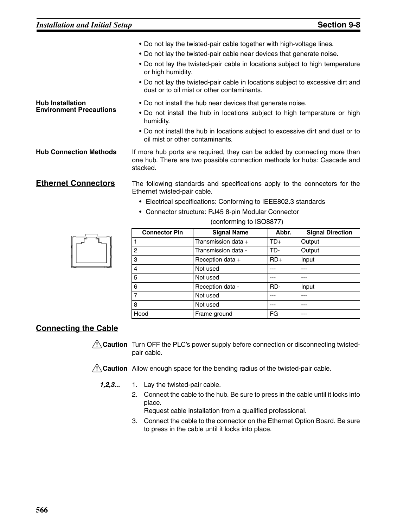| • Do not lay the twisted-pair cable together with high-voltage lines.<br>• Do not lay the twisted-pair cable near devices that generate noise.<br>• Do not lay the twisted-pair cable in locations subject to high temperature<br>or high humidity.<br>• Do not lay the twisted-pair cable in locations subject to excessive dirt and |
|---------------------------------------------------------------------------------------------------------------------------------------------------------------------------------------------------------------------------------------------------------------------------------------------------------------------------------------|
| dust or to oil mist or other contaminants.<br>• Do not install the hub near devices that generate noise.<br>• Do not install the hub in locations subject to high temperature or high<br>humidity.                                                                                                                                    |
| • Do not install the hub in locations subject to excessive dirt and dust or to<br>oil mist or other contaminants.                                                                                                                                                                                                                     |
| If more hub ports are required, they can be added by connecting more than<br>one hub. There are two possible connection methods for hubs: Cascade and<br>stacked.                                                                                                                                                                     |
|                                                                                                                                                                                                                                                                                                                                       |

**Ethernet Connectors** The following standards and specifications apply to the connectors for the Ethernet twisted-pair cable.

- Electrical specifications: Conforming to IEEE802.3 standards
- Connector structure: RJ45 8-pin Modular Connector

(conforming to ISO8877)

| <b>Connector Pin</b> | <b>Signal Name</b>  | Abbr. | <b>Signal Direction</b> |
|----------------------|---------------------|-------|-------------------------|
|                      | Transmission data + | TD+   | Output                  |
| 2                    | Transmission data - | TD-   | Output                  |
| 3                    | Reception data +    | $RD+$ | Input                   |
| $\overline{4}$       | Not used            |       |                         |
| 5                    | Not used            |       | ---                     |
| 6                    | Reception data -    | RD-   | Input                   |
| 7                    | Not used            |       |                         |
| 8                    | Not used            | ---   | ---                     |
| Hood                 | Frame ground        | FG    | ---                     |

### **Connecting the Cable**

 $\sqrt{!}$  Caution Turn OFF the PLC's power supply before connection or disconnecting twistedpair cable.

 $\bigwedge$  Caution Allow enough space for the bending radius of the twisted-pair cable.

*1,2,3...* 1. Lay the twisted-pair cable.

2. Connect the cable to the hub. Be sure to press in the cable until it locks into place.

Request cable installation from a qualified professional.

3. Connect the cable to the connector on the Ethernet Option Board. Be sure to press in the cable until it locks into place.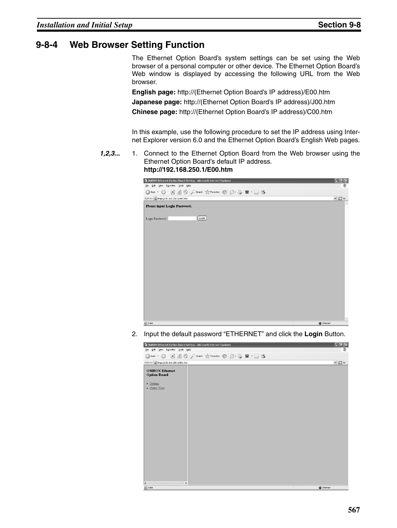### **9-8-4 Web Browser Setting Function**

The Ethernet Option Board's system settings can be set using the Web browser of a personal computer or other device. The Ethernet Option Board's Web window is displayed by accessing the following URL from the Web browser.

**English page:** http://(Ethernet Option Board's IP address)/E00.htm **Japanese page:** http://(Ethernet Option Board's IP address)/J00.htm **Chinese page:** http://(Ethernet Option Board's IP address)/C00.htm

In this example, use the following procedure to set the IP address using Internet Explorer version 6.0 and the Ethernet Option Board's English Web pages.

*1,2,3...* 1. Connect to the Ethernet Option Board from the Web browser using the Ethernet Option Board's default IP address. **http://192.168.250.1/E00.htm**



2. Input the default password "ETHERNET" and click the **Login** Button.

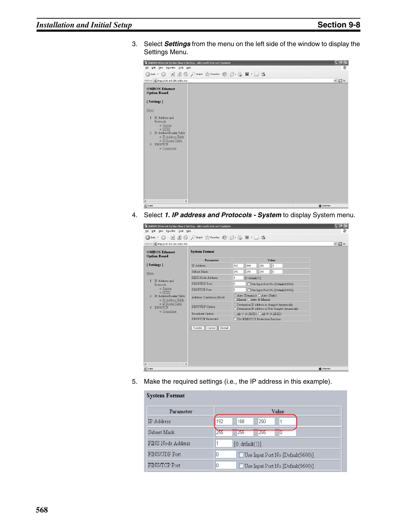3. Select *Settings* from the menu on the left side of the window to display the Settings Menu.

| 2 OMRON Ethernet Option Board Setting - Microsoft Internet Explorer                                                                                                                                             |                                                                 | $\ .\ $ a $\ $ x  |
|-----------------------------------------------------------------------------------------------------------------------------------------------------------------------------------------------------------------|-----------------------------------------------------------------|-------------------|
| Edit View Favorites Tools Help<br>Eile                                                                                                                                                                          |                                                                 |                   |
|                                                                                                                                                                                                                 | ●Back · ● · × ② · × 2 → △ D Search ☆ Favorites ● △ · △ 回 · □ 23 |                   |
| Address     http://192.168.250.1/E01.htm                                                                                                                                                                        |                                                                 | $\vee$ $\Box$ Go  |
| <b>OMRON</b> Ethernet<br><b>Option Board</b>                                                                                                                                                                    |                                                                 |                   |
| [Settings]                                                                                                                                                                                                      |                                                                 |                   |
| Menu<br>1. IP Address and<br>Protocols<br>o System<br>o HTTP<br>2. IP Address/Router Table<br>o IP Address Table<br>o IP Router Table<br>3. FINS/TCP<br>o Connection<br>$\rightarrow$<br>$\hat{}$<br><b>III</b> |                                                                 |                   |
| @ Done                                                                                                                                                                                                          |                                                                 | <b>D</b> Internet |

4. Select *1. IP address and Protocols - System* to display System menu.

| 2 OMRON Ethernet Option Board Setting - Microsoft Internet Explorer |                                          |                                                                                                          | $ \Box$           |
|---------------------------------------------------------------------|------------------------------------------|----------------------------------------------------------------------------------------------------------|-------------------|
| Edit View Favorites Tools<br>Help<br>File                           |                                          |                                                                                                          |                   |
| $ \mathbf{x}$<br>Back -                                             | 2 4 Osearch ☆ Favorites ② Q - A 回 · □ 25 |                                                                                                          |                   |
| Address <b>B</b> http://192.168.250.1/E01.htm                       |                                          |                                                                                                          | $\vee$ $\Box$ Go  |
| <b>OMRON Ethernet</b><br><b>Option Board</b>                        | <b>System Format</b>                     |                                                                                                          |                   |
|                                                                     | Parameter                                | Value                                                                                                    |                   |
| [Settings]                                                          | <b>IP</b> Address                        | 168<br>250<br>192<br>1                                                                                   |                   |
| Menu                                                                | Subnet Mask                              | 255<br>lo.<br>255<br>255                                                                                 |                   |
|                                                                     | FINS Node Address                        | 1<br>$[0:$ default $(1)]$                                                                                |                   |
| 1 IP Address and<br>Protocols                                       | FINS/UDP Port                            | I٥<br>Use Input Port No [Default(9600)]                                                                  |                   |
| o System<br>$\circ$ HTTP                                            | FINS/TCP Port                            | O<br>Use Input Port No [Default(9600)]                                                                   |                   |
| 2. IP Address/Router Table<br>o IP Address Table                    | Address Conversion Mode                  | ⊙ Auto (Dynamic) ○ Auto (Static)<br>O Manual O Auto & Manual                                             |                   |
| o IP Router Table<br>3. FINS/TCP<br>o Connection                    | FINS/UDP Option                          | © Destination IP address is changed dynamically.<br>O Destination IP address is Not changed dynamically. |                   |
|                                                                     | Broadcast Option                         | ⊙All '1' (4.3BSD) ○All '0' (4.2BSD)                                                                      |                   |
|                                                                     | FINS/TCP Protected                       | □ Use FINS/TCP Protection Function                                                                       |                   |
| $\prec$<br>$\rightarrow$                                            | Restart<br>Transfer<br>Cancel            |                                                                                                          |                   |
| @ Done                                                              |                                          |                                                                                                          | <b>D</b> Internet |

5. Make the required settings (i.e., the IP address in this example).

| <b>System Format</b> |                                        |  |  |  |  |  |  |  |  |  |
|----------------------|----------------------------------------|--|--|--|--|--|--|--|--|--|
| Parameter            | Value                                  |  |  |  |  |  |  |  |  |  |
| IP Address           | 192<br>168<br>250<br>11                |  |  |  |  |  |  |  |  |  |
| Subnet Mask          | 255<br>$\sqrt{255}$<br>255<br>10       |  |  |  |  |  |  |  |  |  |
| FINS Node Address    | [0: default(1)]                        |  |  |  |  |  |  |  |  |  |
| FINS/UDP Port        | n<br>Use Input Port No [Default(9600)] |  |  |  |  |  |  |  |  |  |
| FINS/TCP Port        | 0<br>Use Input Port No [Default(9600)] |  |  |  |  |  |  |  |  |  |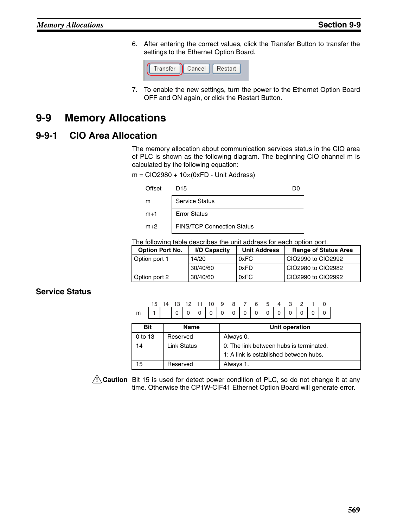6. After entering the correct values, click the Transfer Button to transfer the settings to the Ethernet Option Board.



7. To enable the new settings, turn the power to the Ethernet Option Board OFF and ON again, or click the Restart Button.

# **9-9 Memory Allocations**

### **9-9-1 CIO Area Allocation**

The memory allocation about communication services status in the CIO area of PLC is shown as the following diagram. The beginning CIO channel m is calculated by the following equation:

 $m = ClO2980 + 10 \times (0 \times FD - Unit Address)$ 

| Offset | D15                               |  |
|--------|-----------------------------------|--|
| m      | <b>Service Status</b>             |  |
| $m+1$  | <b>Error Status</b>               |  |
| $m+2$  | <b>FINS/TCP Connection Status</b> |  |

The following table describes the unit address for each option port.

| <b>Option Port No.</b> | I/O Capacity | <b>Unit Address</b> | <b>Range of Status Area</b> |
|------------------------|--------------|---------------------|-----------------------------|
| Option port 1          | 14/20        | 0xFC                | CIO2990 to CIO2992          |
|                        | 30/40/60     | 0xFD                | CIO2980 to CIO2982          |
| Option port 2          | 30/40/60     | 0xFC                | CIO2990 to CIO2992          |

### **Service Status**

m 15 14 13 12 11 10 9 8 7 6 5 4 3 2 1 0 1 000000000000000000

| <b>Bit</b> | <b>Name</b>        | Unit operation                          |
|------------|--------------------|-----------------------------------------|
| 0 to 13    | Reserved           | Always 0.                               |
| 14         | <b>Link Status</b> | 0: The link between hubs is terminated. |
|            |                    | 1: A link is established between hubs.  |
| 15         | Reserved           | Always 1.                               |

 $\sqrt{1}$  Caution Bit 15 is used for detect power condition of PLC, so do not change it at any time. Otherwise the CP1W-CIF41 Ethernet Option Board will generate error.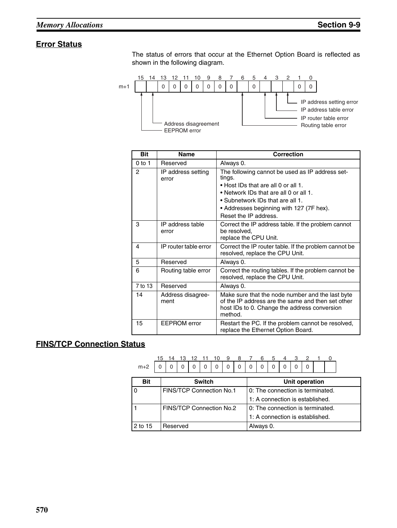### **Error Status**

The status of errors that occur at the Ethernet Option Board is reflected as shown in the following diagram.



| <b>Bit</b> | <b>Name</b>                 | <b>Correction</b>                                                                                                                                                                                                                                   |  |  |  |  |  |  |
|------------|-----------------------------|-----------------------------------------------------------------------------------------------------------------------------------------------------------------------------------------------------------------------------------------------------|--|--|--|--|--|--|
| $0$ to 1   | Reserved                    | Always 0.                                                                                                                                                                                                                                           |  |  |  |  |  |  |
| 2          | IP address setting<br>error | The following cannot be used as IP address set-<br>tings.<br>• Host IDs that are all 0 or all 1.<br>• Network IDs that are all 0 or all 1.<br>• Subnetwork IDs that are all 1.<br>• Addresses beginning with 127 (7F hex).<br>Reset the IP address. |  |  |  |  |  |  |
| 3          | IP address table<br>error   | Correct the IP address table. If the problem cannot<br>be resolved,<br>replace the CPU Unit.                                                                                                                                                        |  |  |  |  |  |  |
| 4          | IP router table error       | Correct the IP router table. If the problem cannot be<br>resolved, replace the CPU Unit.                                                                                                                                                            |  |  |  |  |  |  |
| 5          | Reserved                    | Always 0.                                                                                                                                                                                                                                           |  |  |  |  |  |  |
| 6          | Routing table error         | Correct the routing tables. If the problem cannot be<br>resolved, replace the CPU Unit.                                                                                                                                                             |  |  |  |  |  |  |
| 7 to 13    | Reserved                    | Always 0.                                                                                                                                                                                                                                           |  |  |  |  |  |  |
| 14         | Address disagree-<br>ment   | Make sure that the node number and the last byte<br>of the IP address are the same and then set other<br>host IDs to 0. Change the address conversion<br>method.                                                                                    |  |  |  |  |  |  |
| 15         | <b>EEPROM</b> error         | Restart the PC. If the problem cannot be resolved,<br>replace the Ethernet Option Board.                                                                                                                                                            |  |  |  |  |  |  |

### **FINS/TCP Connection Status**

#### m+2 15 14 13 12 11 10 9 8 7 6 5 4 000000000000 3 2 0 0 <u>1</u> 0

| <b>Bit</b> | <b>Switch</b>                   | Unit operation                    |
|------------|---------------------------------|-----------------------------------|
|            | <b>FINS/TCP Connection No.1</b> | 10: The connection is terminated. |
|            |                                 | 1: A connection is established.   |
|            | FINS/TCP Connection No.2        | 0: The connection is terminated.  |
|            |                                 | 1: A connection is established.   |
| 2 to 15    | Reserved                        | Always 0.                         |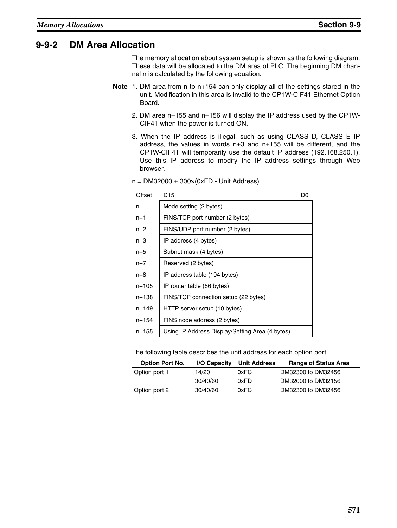### **9-9-2 DM Area Allocation**

The memory allocation about system setup is shown as the following diagram. These data will be allocated to the DM area of PLC. The beginning DM channel n is calculated by the following equation.

- **Note** 1. DM area from n to n+154 can only display all of the settings stared in the unit. Modification in this area is invalid to the CP1W-CIF41 Ethernet Option Board.
	- 2. DM area n+155 and n+156 will display the IP address used by the CP1W-CIF41 when the power is turned ON.
	- 3. When the IP address is illegal, such as using CLASS D, CLASS E IP address, the values in words n+3 and n+155 will be different, and the CP1W-CIF41 will temporarily use the default IP address (192.168.250.1). Use this IP address to modify the IP address settings through Web browser.

| Offset | D <sub>15</sub>                                 | D۵ |
|--------|-------------------------------------------------|----|
| n      | Mode setting (2 bytes)                          |    |
| $n+1$  | FINS/TCP port number (2 bytes)                  |    |
| n+2    | FINS/UDP port number (2 bytes)                  |    |
| n+3    | IP address (4 bytes)                            |    |
| $n+5$  | Subnet mask (4 bytes)                           |    |
| $n+7$  | Reserved (2 bytes)                              |    |
| n+8    | IP address table (194 bytes)                    |    |
| n+105  | IP router table (66 bytes)                      |    |
| n+138  | FINS/TCP connection setup (22 bytes)            |    |
| n+149  | HTTP server setup (10 bytes)                    |    |
| n+154  | FINS node address (2 bytes)                     |    |
| n+155  | Using IP Address Display/Setting Area (4 bytes) |    |

n = DM32000 + 300×(0xFD - Unit Address)

The following table describes the unit address for each option port.

| <b>Option Port No.</b> | I/O Capacity | <b>Unit Address</b> | <b>Range of Status Area</b> |
|------------------------|--------------|---------------------|-----------------------------|
| Option port 1          | 14/20        | 0xFC                | DM32300 to DM32456          |
|                        | 30/40/60     | 0xFD                | DM32000 to DM32156          |
| Option port 2          | 30/40/60     | 0xFC                | DM32300 to DM32456          |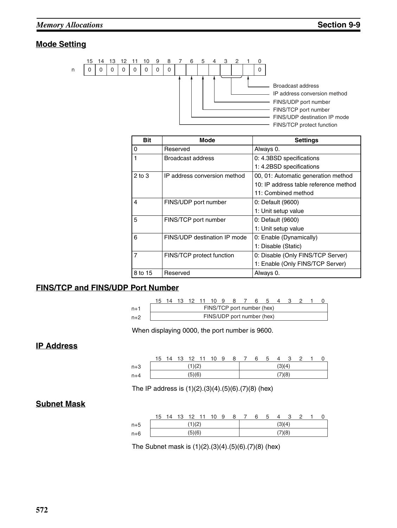### **Mode Setting**



| <b>Bit</b>     | <b>Mode</b>                  | <b>Settings</b>                       |
|----------------|------------------------------|---------------------------------------|
| $\Omega$       | Reserved                     | Always 0.                             |
| 1              | Broadcast address            | 0: 4.3BSD specifications              |
|                |                              | 1: 4.2BSD specifications              |
| $2$ to $3$     | IP address conversion method | 00, 01: Automatic generation method   |
|                |                              | 10: IP address table reference method |
|                |                              | 11: Combined method                   |
| 4              | FINS/UDP port number         | 0: Default (9600)                     |
|                |                              | 1: Unit setup value                   |
| 5              | FINS/TCP port number         | 0: Default (9600)                     |
|                |                              | 1: Unit setup value                   |
| 6              | FINS/UDP destination IP mode | 0: Enable (Dynamically)               |
|                |                              | 1: Disable (Static)                   |
| $\overline{7}$ | FINS/TCP protect function    | 0: Disable (Only FINS/TCP Server)     |
|                |                              | 1: Enable (Only FINS/TCP Server)      |
| 8 to 15        | Reserved                     | Always 0.                             |

#### **FINS/TCP and FINS/UDP Port Number**

|       |  |  |  | 15 14 13 12 11 10 9 8 7    | 6 | - 5 |  |  |  |
|-------|--|--|--|----------------------------|---|-----|--|--|--|
| $n+1$ |  |  |  | FINS/TCP port number (hex) |   |     |  |  |  |
| $n+2$ |  |  |  | FINS/UDP port number (hex) |   |     |  |  |  |

When displaying 0000, the port number is 9600.

### **IP Address**

|       | 15     | 14 | 13 | 12     | 11 | 10 | 9 | 8 |        |  | 5 |        |  |  |  |  |
|-------|--------|----|----|--------|----|----|---|---|--------|--|---|--------|--|--|--|--|
| $n+3$ | (1)(2) |    |    |        |    |    |   |   | (3)(4) |  |   |        |  |  |  |  |
| $n+4$ |        |    |    | (5)(6) |    |    |   |   |        |  |   | (7)(8) |  |  |  |  |

The IP address is (1)(2).(3)(4).(5)(6).(7)(8) (hex)

#### **Subnet Mask**

|       | 15     | 14 | 13 | 12 |  | 10 | 9 | 8 |        | 6      | ა |  |  | ◠ |  |  |
|-------|--------|----|----|----|--|----|---|---|--------|--------|---|--|--|---|--|--|
| $n+5$ | 1)(2)  |    |    |    |  |    |   |   | (3)(4) |        |   |  |  |   |  |  |
| $n+6$ | (5)(6) |    |    |    |  |    |   |   |        | (7)(8) |   |  |  |   |  |  |

The Subnet mask is (1)(2).(3)(4).(5)(6).(7)(8) (hex)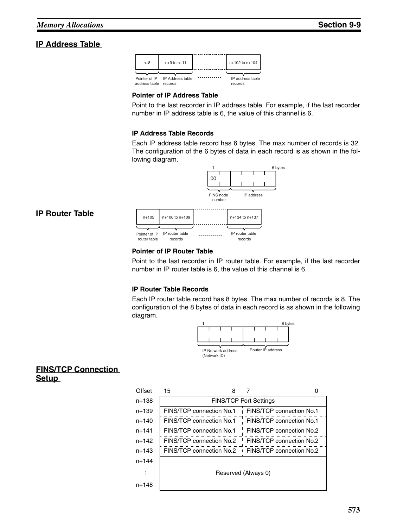#### **IP Address Table**

**IP Router Table**



#### **Pointer of IP Address Table**

Point to the last recorder in IP address table. For example, if the last recorder number in IP address table is 6, the value of this channel is 6.

#### **IP Address Table Records**

Each IP address table record has 6 bytes. The max number of records is 32. The configuration of the 6 bytes of data in each record is as shown in the following diagram.



### **Pointer of IP Router Table**

Point to the last recorder in IP router table. For example, if the last recorder number in IP router table is 6, the value of this channel is 6.

#### **IP Router Table Records**

Each IP router table record has 8 bytes. The max number of records is 8. The configuration of the 8 bytes of data in each record is as shown in the following diagram.



#### **FINS/TCP Connection Setup**

| Offset    | 15<br>8                  |                                                   |
|-----------|--------------------------|---------------------------------------------------|
| $n+138$   |                          | <b>FINS/TCP Port Settings</b>                     |
| $n+139$   | FINS/TCP connection No.1 | FINS/TCP connection No.1                          |
| $n+140$   | FINS/TCP connection No.1 | FINS/TCP connection No.1                          |
| $n + 141$ | FINS/TCP connection No.1 | FINS/TCP connection No.2                          |
| $n+142$   | FINS/TCP connection No.2 | FINS/TCP connection No.2                          |
| $n+143$   |                          | FINS/TCP connection No.2 FINS/TCP connection No.2 |
| $n + 144$ |                          |                                                   |
|           |                          | Reserved (Always 0)                               |
| n+148     |                          |                                                   |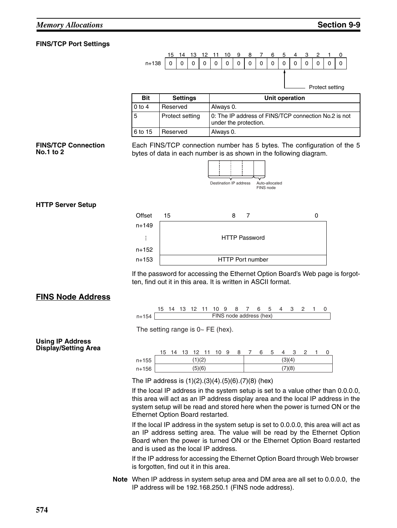#### **FINS/TCP Port Settings**



| <b>Bit</b> | <b>Settings</b> | Unit operation                                                                |
|------------|-----------------|-------------------------------------------------------------------------------|
| 0 to 4     | Reserved        | Always 0.                                                                     |
| 5          | Protect setting | 0: The IP address of FINS/TCP connection No.2 is not<br>under the protection. |
| 6 to 15    | Reserved        | Always 0.                                                                     |

#### **FINS/TCP Connection No.1 to 2**

Each FINS/TCP connection number has 5 bytes. The configuration of the 5 bytes of data in each number is as shown in the following diagram.



#### **HTTP Server Setup**



If the password for accessing the Ethernet Option Board's Web page is forgotten, find out it in this area. It is written in ASCII format.

#### **FINS Node Address**

n+154 FINS node address (hex) 15 14 13 12 11 10 9 8 7 6 5 4 3

The setting range is  $0 \sim FE$  (hex).

#### **Using IP Address Display/Setting Area**

|       | 15     | 14     | 13 |  | 12 11 10 |  | -9 | 8 |        | 6 | <sub>5</sub> |  |  |  |  |  |
|-------|--------|--------|----|--|----------|--|----|---|--------|---|--------------|--|--|--|--|--|
| n+155 | (1)(2) |        |    |  |          |  |    |   | (3)(4) |   |              |  |  |  |  |  |
| n+156 |        | (5)(6) |    |  |          |  |    |   |        |   | (7)(8)       |  |  |  |  |  |

The IP address is (1)(2).(3)(4).(5)(6).(7)(8) (hex)

If the local IP address in the system setup is set to a value other than 0.0.0.0, this area will act as an IP address display area and the local IP address in the system setup will be read and stored here when the power is turned ON or the Ethernet Option Board restarted.

If the local IP address in the system setup is set to 0.0.0.0, this area will act as an IP address setting area. The value will be read by the Ethernet Option Board when the power is turned ON or the Ethernet Option Board restarted and is used as the local IP address.

If the IP address for accessing the Ethernet Option Board through Web browser is forgotten, find out it in this area.

**Note** When IP address in system setup area and DM area are all set to 0.0.0.0, the IP address will be 192.168.250.1 (FINS node address).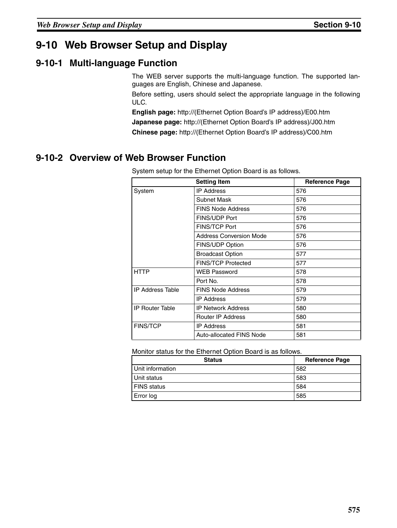# **9-10 Web Browser Setup and Display**

### **9-10-1 Multi-language Function**

The WEB server supports the multi-language function. The supported languages are English, Chinese and Japanese.

Before setting, users should select the appropriate language in the following ULC.

**English page:** http://(Ethernet Option Board's IP address)/E00.htm **Japanese page:** http://(Ethernet Option Board's IP address)/J00.htm

**Chinese page:** http://(Ethernet Option Board's IP address)/C00.htm

## **9-10-2 Overview of Web Browser Function**

|                         | <b>Setting Item</b>            | <b>Reference Page</b> |
|-------------------------|--------------------------------|-----------------------|
| System                  | <b>IP Address</b>              | 576                   |
|                         | Subnet Mask                    | 576                   |
|                         | <b>FINS Node Address</b>       | 576                   |
|                         | <b>FINS/UDP Port</b>           | 576                   |
|                         | <b>FINS/TCP Port</b>           | 576                   |
|                         | <b>Address Conversion Mode</b> | 576                   |
|                         | FINS/UDP Option                | 576                   |
|                         | <b>Broadcast Option</b>        | 577                   |
|                         | <b>FINS/TCP Protected</b>      | 577                   |
| <b>HTTP</b>             | <b>WEB Password</b>            | 578                   |
|                         | Port No.                       | 578                   |
| <b>IP Address Table</b> | <b>FINS Node Address</b>       | 579                   |
|                         | <b>IP Address</b>              | 579                   |
| <b>IP Router Table</b>  | <b>IP Network Address</b>      | 580                   |
|                         | <b>Router IP Address</b>       | 580                   |
| <b>FINS/TCP</b>         | <b>IP Address</b>              | 581                   |
|                         | Auto-allocated FINS Node       | 581                   |

System setup for the Ethernet Option Board is as follows.

Monitor status for the Ethernet Option Board is as follows.

| <b>Status</b>      | <b>Reference Page</b> |
|--------------------|-----------------------|
| Unit information   | 582                   |
| Unit status        | 583                   |
| <b>FINS</b> status | 584                   |
| Error log          | 585                   |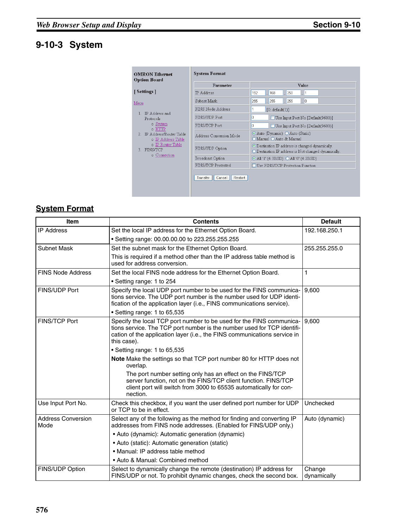# **9-10-3 System**

| <b>OMRON Ethernet</b><br><b>Option Board</b>    | <b>System Format</b>          |                                                                                                                   |  |  |  |  |  |  |  |  |  |
|-------------------------------------------------|-------------------------------|-------------------------------------------------------------------------------------------------------------------|--|--|--|--|--|--|--|--|--|
|                                                 | Parameter                     | Value                                                                                                             |  |  |  |  |  |  |  |  |  |
| [Settings]                                      | <b>IP</b> Address             | 192<br>168<br>250<br>1                                                                                            |  |  |  |  |  |  |  |  |  |
| Menu                                            | Subnet Mask                   | 255<br>255<br>I٥<br>255                                                                                           |  |  |  |  |  |  |  |  |  |
| IP Address and                                  | FINS Node Address             | [0: default(1)]                                                                                                   |  |  |  |  |  |  |  |  |  |
| Protocols                                       | FINS/UDP Port                 | 0<br>Use Input Port No [Default(9600)]                                                                            |  |  |  |  |  |  |  |  |  |
| o System<br>o HTTP                              | FINS/TCP Port                 | O<br>Use Input Port No [Default(9600)]                                                                            |  |  |  |  |  |  |  |  |  |
| 2 IP Address/Router Table<br>o IP Address Table | Address Conversion Mode       | Auto (Dynamic) Auto (Static)<br>O Manual O Auto & Manual                                                          |  |  |  |  |  |  |  |  |  |
| o IP Router Table<br>3. FINS/TCP                | FINS/UDP Option               | ⊙ Destination IP address is changed dynamically.<br>$\bigcirc$ Destination IP address is Not changed dynamically. |  |  |  |  |  |  |  |  |  |
| o Connection                                    | Broadcast Option              | $\odot$ All '1' (4.3BSD) $\odot$ All '0' (4.2BSD)                                                                 |  |  |  |  |  |  |  |  |  |
|                                                 | FINS/TCP Protected            | Use FINS/TCP Protection Function                                                                                  |  |  |  |  |  |  |  |  |  |
|                                                 | Restart<br>Transfer<br>Cancel |                                                                                                                   |  |  |  |  |  |  |  |  |  |

# **System Format**

| <b>Item</b>                       | <b>Contents</b>                                                                                                                                                                                                                             | <b>Default</b>        |
|-----------------------------------|---------------------------------------------------------------------------------------------------------------------------------------------------------------------------------------------------------------------------------------------|-----------------------|
| <b>IP Address</b>                 | Set the local IP address for the Ethernet Option Board.                                                                                                                                                                                     | 192.168.250.1         |
|                                   | • Setting range: 00.00.00.00 to 223.255.255.255                                                                                                                                                                                             |                       |
| Subnet Mask                       | Set the subnet mask for the Ethernet Option Board.                                                                                                                                                                                          | 255.255.255.0         |
|                                   | This is required if a method other than the IP address table method is<br>used for address conversion.                                                                                                                                      |                       |
| <b>FINS Node Address</b>          | Set the local FINS node address for the Ethernet Option Board.                                                                                                                                                                              | 1                     |
|                                   | • Setting range: 1 to 254                                                                                                                                                                                                                   |                       |
| <b>FINS/UDP Port</b>              | Specify the local UDP port number to be used for the FINS communica-<br>tions service. The UDP port number is the number used for UDP identi-<br>fication of the application layer (i.e., FINS communications service).                     | 9.600                 |
|                                   | • Setting range: 1 to 65,535                                                                                                                                                                                                                |                       |
| <b>FINS/TCP Port</b>              | Specify the local TCP port number to be used for the FINS communica-<br>tions service. The TCP port number is the number used for TCP identifi-<br>cation of the application layer (i.e., the FINS communications service in<br>this case). | 9.600                 |
|                                   | • Setting range: 1 to 65,535                                                                                                                                                                                                                |                       |
|                                   | Note Make the settings so that TCP port number 80 for HTTP does not<br>overlap.                                                                                                                                                             |                       |
|                                   | The port number setting only has an effect on the FINS/TCP<br>server function, not on the FINS/TCP client function. FINS/TCP<br>client port will switch from 3000 to 65535 automatically for con-<br>nection.                               |                       |
| Use Input Port No.                | Check this checkbox, if you want the user defined port number for UDP<br>or TCP to be in effect.                                                                                                                                            | Unchecked             |
| <b>Address Conversion</b><br>Mode | Select any of the following as the method for finding and converting IP<br>addresses from FINS node addresses. (Enabled for FINS/UDP only.)                                                                                                 | Auto (dynamic)        |
|                                   | • Auto (dynamic): Automatic generation (dynamic)                                                                                                                                                                                            |                       |
|                                   | · Auto (static): Automatic generation (static)                                                                                                                                                                                              |                       |
|                                   | · Manual: IP address table method                                                                                                                                                                                                           |                       |
|                                   | • Auto & Manual: Combined method                                                                                                                                                                                                            |                       |
| FINS/UDP Option                   | Select to dynamically change the remote (destination) IP address for<br>FINS/UDP or not. To prohibit dynamic changes, check the second box.                                                                                                 | Change<br>dynamically |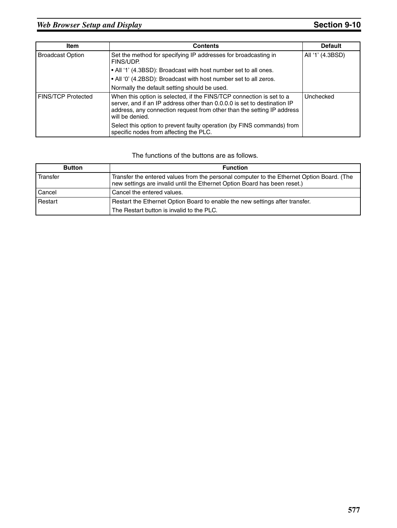| <b>Item</b>                 | <b>Contents</b>                                                                                                                                                                                                                               | <b>Default</b>   |
|-----------------------------|-----------------------------------------------------------------------------------------------------------------------------------------------------------------------------------------------------------------------------------------------|------------------|
| <b>Broadcast Option</b>     | Set the method for specifying IP addresses for broadcasting in<br>FINS/UDP.                                                                                                                                                                   | All '1' (4.3BSD) |
|                             | • All '1' (4.3BSD): Broadcast with host number set to all ones.                                                                                                                                                                               |                  |
|                             | • All '0' (4.2BSD): Broadcast with host number set to all zeros.                                                                                                                                                                              |                  |
|                             | Normally the default setting should be used.                                                                                                                                                                                                  |                  |
| <b>I FINS/TCP Protected</b> | When this option is selected, if the FINS/TCP connection is set to a<br>server, and if an IP address other than 0.0.0.0 is set to destination IP<br>address, any connection request from other than the setting IP address<br>will be denied. | Unchecked        |
|                             | Select this option to prevent faulty operation (by FINS commands) from<br>specific nodes from affecting the PLC.                                                                                                                              |                  |

| <b>Button</b> | <b>Function</b>                                                                                                                                                        |
|---------------|------------------------------------------------------------------------------------------------------------------------------------------------------------------------|
| Transfer      | Transfer the entered values from the personal computer to the Ethernet Option Board. (The<br>new settings are invalid until the Ethernet Option Board has been reset.) |
| Cancel        | Cancel the entered values.                                                                                                                                             |
| Restart       | Restart the Ethernet Option Board to enable the new settings after transfer.                                                                                           |
|               | The Restart button is invalid to the PLC.                                                                                                                              |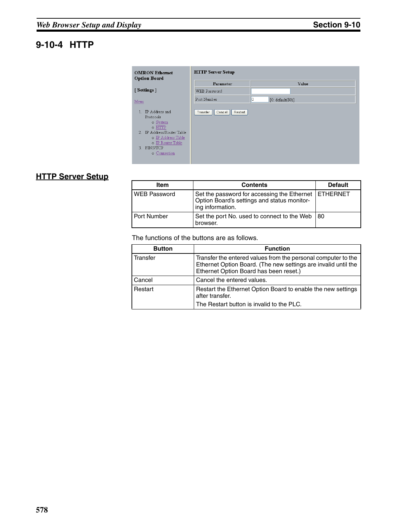# **9-10-4 HTTP**

| <b>OMRON Ethernet</b><br><b>Option Board</b>                                                                                                                                    | <b>HTTP Server Setup</b>      |                        |
|---------------------------------------------------------------------------------------------------------------------------------------------------------------------------------|-------------------------------|------------------------|
|                                                                                                                                                                                 | Parameter                     | Value                  |
| [Settings]                                                                                                                                                                      | WEB Password                  |                        |
| Menu                                                                                                                                                                            | Port Number                   | 10<br>[0: default(80)] |
| IP Address and<br>$\mathbf{1}$<br>Protocols<br>o System<br>$\circ$ HTTP<br>2. IP Address/Router Table<br>o IP Address Table<br>o IP Router Table<br>3. FINS/TCP<br>o Connection | Restart<br>Transfer<br>Cancel |                        |

# **HTTP Server Setup**

| Item                | <b>Contents</b>                                                                                                           | <b>Default</b> |
|---------------------|---------------------------------------------------------------------------------------------------------------------------|----------------|
| <b>WEB Password</b> | Set the password for accessing the Ethernet   ETHERNET<br>Option Board's settings and status monitor-<br>ing information. |                |
| Port Number         | Set the port No. used to connect to the Web<br>browser.                                                                   | 180            |

| <b>Button</b> | <b>Function</b>                                                                                                                                                           |
|---------------|---------------------------------------------------------------------------------------------------------------------------------------------------------------------------|
| Transfer      | Transfer the entered values from the personal computer to the<br>Ethernet Option Board. (The new settings are invalid until the<br>Ethernet Option Board has been reset.) |
| Cancel        | Cancel the entered values.                                                                                                                                                |
| Restart       | Restart the Ethernet Option Board to enable the new settings<br>after transfer.                                                                                           |
|               | The Restart button is invalid to the PLC.                                                                                                                                 |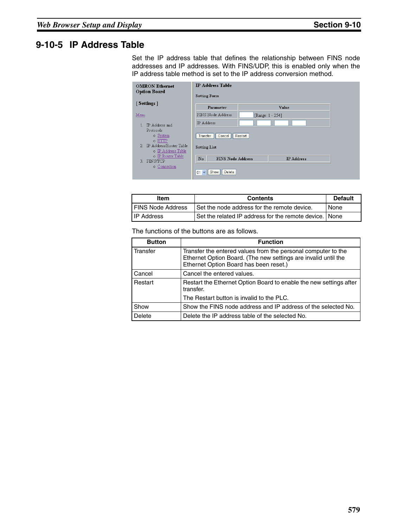## **9-10-5 IP Address Table**

Set the IP address table that defines the relationship between FINS node addresses and IP addresses. With FINS/UDP, this is enabled only when the IP address table method is set to the IP address conversion method.

|      | <b>OMRON Ethernet</b><br><b>Option Board</b>                                                 | <b>IP Address Table</b><br><b>Setting Form</b>                    |                  |                   |  |
|------|----------------------------------------------------------------------------------------------|-------------------------------------------------------------------|------------------|-------------------|--|
|      | [Settings]                                                                                   | Parameter                                                         |                  | Value             |  |
| Menu |                                                                                              | FINS Node Address                                                 | [Range: 1 - 254] |                   |  |
|      | <b>IP</b> Address and<br>Protocols<br>o System<br>$\circ$ HTTP<br>2. IP Address/Router Table | IP Address<br>Transfer<br>Cancel                                  | Restart          |                   |  |
| 3.   | o IP Address Table<br>o IP Router Table<br>FINS/TCP                                          | <b>Setting List</b><br>$\mathbf{N}$ o<br><b>FINS Node Address</b> |                  | <b>IP</b> Address |  |
|      | o Connection                                                                                 | Delete<br>Show<br>$01 - $                                         |                  |                   |  |

| Item                       | <b>Contents</b>                                        | <b>Default</b> |
|----------------------------|--------------------------------------------------------|----------------|
| <b>I FINS Node Address</b> | Set the node address for the remote device.            | <b>None</b>    |
| <b>IP Address</b>          | Set the related IP address for the remote device. None |                |

| <b>Button</b> | <b>Function</b>                                                                                                                                                           |
|---------------|---------------------------------------------------------------------------------------------------------------------------------------------------------------------------|
| Transfer      | Transfer the entered values from the personal computer to the<br>Ethernet Option Board. (The new settings are invalid until the<br>Ethernet Option Board has been reset.) |
| Cancel        | Cancel the entered values.                                                                                                                                                |
| Restart       | Restart the Ethernet Option Board to enable the new settings after<br>transfer.                                                                                           |
|               | The Restart button is invalid to the PLC.                                                                                                                                 |
| Show          | Show the FINS node address and IP address of the selected No.                                                                                                             |
| Delete        | Delete the IP address table of the selected No.                                                                                                                           |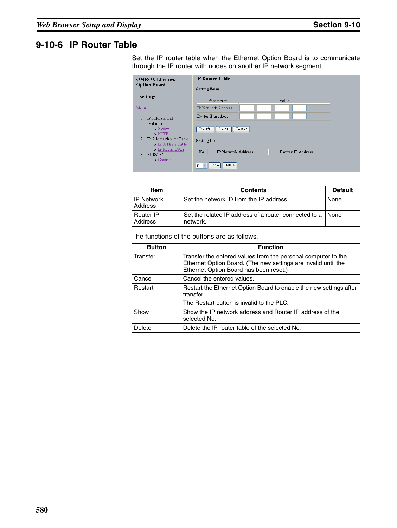## **9-10-6 IP Router Table**

Set the IP router table when the Ethernet Option Board is to communicate through the IP router with nodes on another IP network segment.

| <b>OMRON</b> Ethernet<br><b>Option Board</b>                                                                | <b>IP Router Table</b><br><b>Setting Form</b>                  |         |                   |  |
|-------------------------------------------------------------------------------------------------------------|----------------------------------------------------------------|---------|-------------------|--|
| [Settings]                                                                                                  | Parameter                                                      |         | Value             |  |
| Menu                                                                                                        | IP Network Address                                             |         |                   |  |
| IP Address and<br>Protocols<br>o System<br>$\circ$ HTTP<br>2. IP Address/Router Table<br>o IP Address Table | Router IP Address<br>Transfer<br>Cancel<br><b>Setting List</b> | Restart |                   |  |
| o IP Router Table<br>FINS/TCP<br>3.                                                                         | $\mathbf{N}$ o<br><b>IP Network Address</b>                    |         | Router IP Address |  |
| o Connection                                                                                                | Delete<br>Show<br>01<br>$\checkmark$                           |         |                   |  |

| <b>Item</b>                         | <b>Contents</b>                                                          | <b>Default</b> |
|-------------------------------------|--------------------------------------------------------------------------|----------------|
| <b>IP Network</b><br><b>Address</b> | Set the network ID from the IP address.                                  | None           |
| Router IP<br>Address                | Set the related IP address of a router connected to a I None<br>network. |                |

| <b>Button</b> | <b>Function</b>                                                                                                                                                           |
|---------------|---------------------------------------------------------------------------------------------------------------------------------------------------------------------------|
| Transfer      | Transfer the entered values from the personal computer to the<br>Ethernet Option Board. (The new settings are invalid until the<br>Ethernet Option Board has been reset.) |
| Cancel        | Cancel the entered values.                                                                                                                                                |
| Restart       | Restart the Ethernet Option Board to enable the new settings after<br>transfer.                                                                                           |
|               | The Restart button is invalid to the PLC.                                                                                                                                 |
| Show          | Show the IP network address and Router IP address of the<br>selected No.                                                                                                  |
| Delete        | Delete the IP router table of the selected No.                                                                                                                            |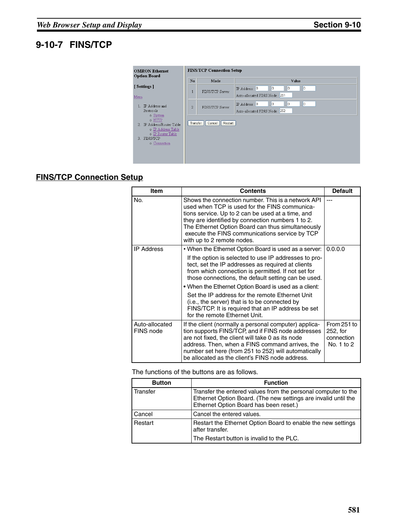# **9-10-7 FINS/TCP**

| <b>OMRON Ethernet</b><br><b>Option Board</b> |                                                                                                                               |                | <b>FINS/TCP Connection Setup</b> |                                                                                                        |
|----------------------------------------------|-------------------------------------------------------------------------------------------------------------------------------|----------------|----------------------------------|--------------------------------------------------------------------------------------------------------|
|                                              |                                                                                                                               | $\mathbf{N}$ o | Mode                             | Value                                                                                                  |
|                                              | [Settings]                                                                                                                    | 1              | FINS/TCP Server                  | $\vert \cdot \vert$ 0<br>o<br>IP Address : 0<br>$\Box$<br>×.                                           |
| Menu                                         |                                                                                                                               |                |                                  | Auto-allocated FINS Node: 251                                                                          |
|                                              | IP Address and<br>Protocols                                                                                                   | $\overline{2}$ | FINS/TCP Server                  | Iо<br>IP Address: 0<br>$\vert \cdot \vert$ 0<br>$\vert \cdot \vert$ 0<br>Auto-allocated FINS Node: 252 |
| 3.                                           | o System<br>$\circ$ HTTP<br>2. IP Address/Router Table<br>o IP Address Table<br>o IP Router Table<br>FINS/TCP<br>o Connection | Transfer       | Restart<br>Cancel                |                                                                                                        |

## **FINS/TCP Connection Setup**

| <b>Item</b>                 | <b>Contents</b>                                                                                                                                                                                                                                                                                                                                                                                                                               | <b>Default</b>                                      |
|-----------------------------|-----------------------------------------------------------------------------------------------------------------------------------------------------------------------------------------------------------------------------------------------------------------------------------------------------------------------------------------------------------------------------------------------------------------------------------------------|-----------------------------------------------------|
| No.                         | Shows the connection number. This is a network API<br>used when TCP is used for the FINS communica-<br>tions service. Up to 2 can be used at a time, and<br>they are identified by connection numbers 1 to 2.<br>The Ethernet Option Board can thus simultaneously<br>execute the FINS communications service by TCP<br>with up to 2 remote nodes.                                                                                            |                                                     |
| <b>IP Address</b>           | • When the Ethernet Option Board is used as a server:<br>If the option is selected to use IP addresses to pro-<br>tect, set the IP addresses as required at clients<br>from which connection is permitted. If not set for<br>those connections, the default setting can be used.<br>• When the Ethernet Option Board is used as a client:<br>Set the IP address for the remote Ethernet Unit<br>(i.e., the server) that is to be connected by | 0.0.0.0                                             |
|                             | FINS/TCP. It is required that an IP address be set<br>for the remote Ethernet Unit.                                                                                                                                                                                                                                                                                                                                                           |                                                     |
| Auto-allocated<br>FINS node | If the client (normally a personal computer) applica-<br>tion supports FINS/TCP, and if FINS node addresses<br>are not fixed, the client will take 0 as its node<br>address. Then, when a FINS command arrives, the<br>number set here (from 251 to 252) will automatically<br>be allocated as the client's FINS node address.                                                                                                                | From 251 to<br>252, for<br>connection<br>No. 1 to 2 |

| <b>Button</b> | <b>Function</b>                                                                                                                                                           |
|---------------|---------------------------------------------------------------------------------------------------------------------------------------------------------------------------|
| Transfer      | Transfer the entered values from the personal computer to the<br>Ethernet Option Board. (The new settings are invalid until the<br>Ethernet Option Board has been reset.) |
| Cancel        | Cancel the entered values.                                                                                                                                                |
| Restart       | Restart the Ethernet Option Board to enable the new settings<br>after transfer.                                                                                           |
|               | The Restart button is invalid to the PLC.                                                                                                                                 |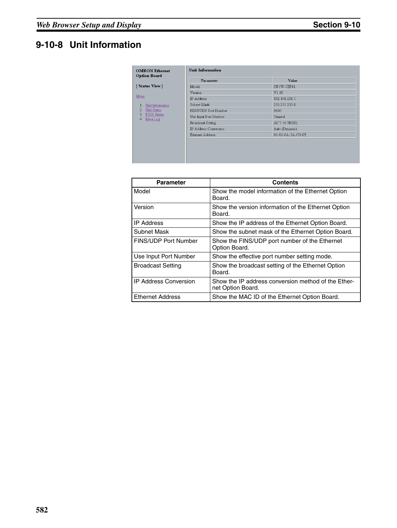# **9-10-8 Unit Information**

|                                 | Parameter             | Value             |
|---------------------------------|-----------------------|-------------------|
| [Status View]<br>Model          |                       | $CP1W-CIF41$      |
| Version                         |                       | V1.05             |
| IP Address                      |                       | 192.168.250.1     |
| Subnet Mask<br>Unit Information |                       | 255.255.255.0     |
| Unit Status                     | FINS/UDP Port Number  | 9600              |
| FINS Status<br>Error Log        | Use Input Port Number | Unused            |
| <b>Broadcast Setting</b>        |                       | All '1' (4.3BSD)  |
|                                 | IP Address Conversion | Auto (Dynamic)    |
| Ethernet Address                |                       | 00-00-0A-3A-C0-05 |

| <b>Parameter</b>             | Contents                                                                 |
|------------------------------|--------------------------------------------------------------------------|
| Model                        | Show the model information of the Ethernet Option<br>Board.              |
| Version                      | Show the version information of the Ethernet Option<br>Board.            |
| <b>IP Address</b>            | Show the IP address of the Ethernet Option Board.                        |
| Subnet Mask                  | Show the subnet mask of the Ethernet Option Board.                       |
| FINS/UDP Port Number         | Show the FINS/UDP port number of the Ethernet<br>Option Board.           |
| Use Input Port Number        | Show the effective port number setting mode.                             |
| <b>Broadcast Setting</b>     | Show the broadcast setting of the Ethernet Option<br>Board.              |
| <b>IP Address Conversion</b> | Show the IP address conversion method of the Ether-<br>net Option Board. |
| <b>Ethernet Address</b>      | Show the MAC ID of the Ethernet Option Board.                            |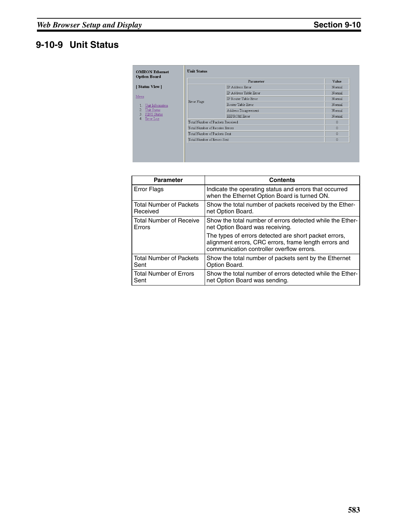# **9-10-9 Unit Status**

|                                                                               |             | Parameter                        |        |  |
|-------------------------------------------------------------------------------|-------------|----------------------------------|--------|--|
| [Status View]                                                                 |             | <b>IP</b> Address Error          | Normal |  |
| Menu                                                                          |             | IP Address Table Error           | Normal |  |
|                                                                               |             | IP Router Table Error            | Normal |  |
| Unit Information<br>Unit Status<br>2.<br>FINS Status<br>3.<br>Error Log<br>4. | Error Flags | Router Table Error               | Normal |  |
|                                                                               |             | Address Disagreement             | Normal |  |
|                                                                               |             | <b>EEPROM Error</b>              | Normal |  |
|                                                                               |             | Total Number of Packets Received |        |  |
|                                                                               |             | Total Number of Receive Errors   |        |  |
|                                                                               |             | Total Number of Packets Sent     |        |  |
|                                                                               |             | Total Number of Errors Sent      |        |  |

| <b>Parameter</b>               | <b>Contents</b>                                                                                                                                             |
|--------------------------------|-------------------------------------------------------------------------------------------------------------------------------------------------------------|
| <b>Error Flags</b>             | Indicate the operating status and errors that occurred<br>when the Ethernet Option Board is turned ON.                                                      |
| l Total Number of Packets      | Show the total number of packets received by the Ether-                                                                                                     |
| Received                       | net Option Board.                                                                                                                                           |
| Total Number of Receive        | Show the total number of errors detected while the Ether-                                                                                                   |
| Errors                         | net Option Board was receiving.                                                                                                                             |
|                                | The types of errors detected are short packet errors,<br>alignment errors, CRC errors, frame length errors and<br>communication controller overflow errors. |
| <b>Total Number of Packets</b> | Show the total number of packets sent by the Ethernet                                                                                                       |
| Sent                           | Option Board.                                                                                                                                               |
| Total Number of Errors         | Show the total number of errors detected while the Ether-                                                                                                   |
| Sent                           | net Option Board was sending.                                                                                                                               |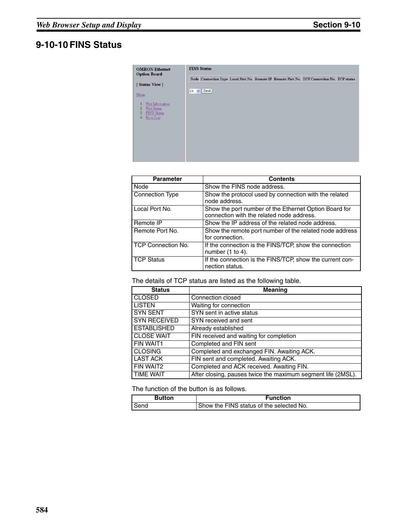# **9-10-10 FINS Status**

| <b>OMRON Ethernet</b><br><b>Option Board</b>                                       | <b>FINS Status</b>                                                                          |  |  |  |  |  |
|------------------------------------------------------------------------------------|---------------------------------------------------------------------------------------------|--|--|--|--|--|
|                                                                                    | Node Connection Type Local Port No. Remote IP Remote Port No. TCP Connection No. TCP status |  |  |  |  |  |
| [Status View]                                                                      |                                                                                             |  |  |  |  |  |
| Menu                                                                               | $\vee$ Send<br>01                                                                           |  |  |  |  |  |
| Unit Information<br>1<br>Unit Status<br>2.<br>3.<br>FINS Status<br>Error Log<br>4. |                                                                                             |  |  |  |  |  |

| <b>Parameter</b>   | <b>Contents</b>                                                                                    |
|--------------------|----------------------------------------------------------------------------------------------------|
| Node               | Show the FINS node address.                                                                        |
| Connection Type    | Show the protocol used by connection with the related<br>node address.                             |
| Local Port No.     | Show the port number of the Ethernet Option Board for<br>connection with the related node address. |
| Remote IP          | Show the IP address of the related node address.                                                   |
| Remote Port No.    | Show the remote port number of the related node address<br>for connection.                         |
| TCP Connection No. | If the connection is the FINS/TCP, show the connection<br>number $(1 to 4)$ .                      |
| <b>TCP Status</b>  | If the connection is the FINS/TCP, show the current con-<br>nection status.                        |

The details of TCP status are listed as the following table.

| <b>Status</b>       | <b>Meaning</b>                                               |
|---------------------|--------------------------------------------------------------|
| <b>CLOSED</b>       | Connection closed                                            |
| <b>LISTEN</b>       | Waiting for connection                                       |
| <b>SYN SENT</b>     | SYN sent in active status                                    |
| <b>SYN RECEIVED</b> | SYN received and sent                                        |
| <b>ESTABLISHED</b>  | Already established                                          |
| <b>CLOSE WAIT</b>   | FIN received and waiting for completion                      |
| FIN WAIT1           | Completed and FIN sent                                       |
| <b>CLOSING</b>      | Completed and exchanged FIN. Awaiting ACK.                   |
| <b>LAST ACK</b>     | FIN sent and completed. Awaiting ACK.                        |
| FIN WAIT2           | Completed and ACK received. Awaiting FIN.                    |
| <b>TIME WAIT</b>    | After closing, pauses twice the maximum segment life (2MSL). |

| <b>Button</b> | Function                                   |
|---------------|--------------------------------------------|
| Send          | I Show the FINS status of the selected No. |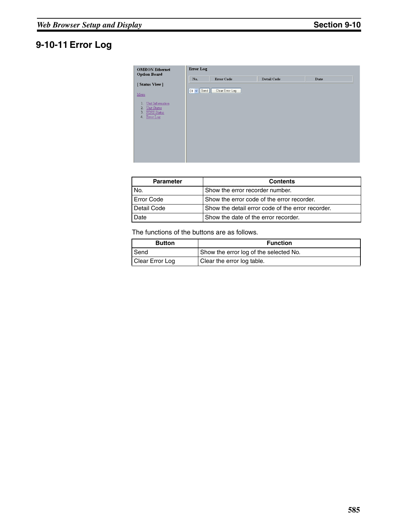# **9-10-11 Error Log**

| <b>OMRON</b> Ethernet<br><b>Option Board</b>                                  | <b>Error</b> Log |                   |             |      |
|-------------------------------------------------------------------------------|------------------|-------------------|-------------|------|
| [Status View]                                                                 | No.              | <b>Error Code</b> | Detail Code | Date |
| Menu                                                                          | $01 -$ Send      | Clear Error Log   |             |      |
| Unit Information<br>Unit Status<br>2.<br>FINS Status<br>3.<br>Error Log<br>4. |                  |                   |             |      |
|                                                                               |                  |                   |             |      |
|                                                                               |                  |                   |             |      |

| <b>Parameter</b>  | <b>Contents</b>                                   |  |
|-------------------|---------------------------------------------------|--|
| No.               | Show the error recorder number.                   |  |
| <b>Error Code</b> | Show the error code of the error recorder.        |  |
| Detail Code       | Show the detail error code of the error recorder. |  |
| Date              | Show the date of the error recorder.              |  |

| <b>Button</b>   | <b>Function</b>                        |
|-----------------|----------------------------------------|
| Send            | Show the error log of the selected No. |
| Clear Error Log | Clear the error log table.             |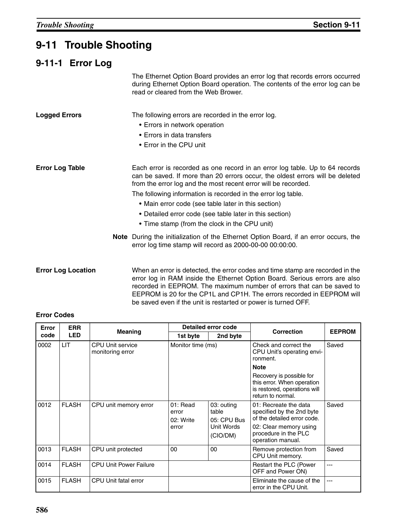# **9-11 Trouble Shooting**

# **9-11-1 Error Log**

The Ethernet Option Board provides an error log that records errors occurred during Ethernet Option Board operation. The contents of the error log can be read or cleared from the Web Brower.

| <b>Logged Errors</b>   | The following errors are recorded in the error log.<br>• Errors in network operation<br>• Errors in data transfers<br>• Error in the CPU unit                                                                                   |
|------------------------|---------------------------------------------------------------------------------------------------------------------------------------------------------------------------------------------------------------------------------|
| <b>Error Log Table</b> | Each error is recorded as one record in an error log table. Up to 64 records<br>can be saved. If more than 20 errors occur, the oldest errors will be deleted<br>from the error log and the most recent error will be recorded. |
|                        | The following information is recorded in the error log table.                                                                                                                                                                   |
|                        | • Main error code (see table later in this section)                                                                                                                                                                             |
|                        | • Detailed error code (see table later in this section)                                                                                                                                                                         |
|                        | • Time stamp (from the clock in the CPU unit)                                                                                                                                                                                   |
|                        | <b>Note</b> During the initialization of the Ethernet Option Board, if an error occurs, the<br>error log time stamp will record as 2000-00-00 00:00:00.                                                                         |

**Error Log Location** When an error is detected, the error codes and time stamp are recorded in the error log in RAM inside the Ethernet Option Board. Serious errors are also recorded in EEPROM. The maximum number of errors that can be saved to EEPROM is 20 for the CP1L and CP1H. The errors recorded in EEPROM will be saved even if the unit is restarted or power is turned OFF.

#### **Error Codes**

| <b>ERR</b><br>Error |              |                                             | Detailed error code  |                        | Correction                                                                                                  | <b>EEPROM</b> |
|---------------------|--------------|---------------------------------------------|----------------------|------------------------|-------------------------------------------------------------------------------------------------------------|---------------|
| code                | <b>LED</b>   | <b>Meaning</b>                              | 2nd byte<br>1st byte |                        |                                                                                                             |               |
| 0002                | <b>LIT</b>   | <b>CPU Unit service</b><br>monitoring error | Monitor time (ms)    |                        | Check and correct the<br>CPU Unit's operating envi-<br>ronment.                                             | Saved         |
|                     |              |                                             |                      |                        | <b>Note</b>                                                                                                 |               |
|                     |              |                                             |                      |                        | Recovery is possible for<br>this error. When operation<br>is restored, operations will<br>return to normal. |               |
| 0012                | <b>FLASH</b> | CPU unit memory error                       | $01:$ Read<br>error  | 03: outing<br>table    | 01: Recreate the data<br>specified by the 2nd byte                                                          | Saved         |
|                     |              |                                             | 02: Write            | 05: CPU Bus            | of the detailed error code.                                                                                 |               |
|                     |              |                                             | error                | Unit Words<br>(CIO/DM) | 02: Clear memory using<br>procedure in the PLC<br>operation manual.                                         |               |
| 0013                | <b>FLASH</b> | CPU unit protected                          | 00                   | 00                     | Remove protection from<br>CPU Unit memory.                                                                  | Saved         |
| 0014                | <b>FLASH</b> | <b>CPU Unit Power Failure</b>               |                      |                        | Restart the PLC (Power<br>OFF and Power ON)                                                                 |               |
| 0015                | <b>FLASH</b> | CPU Unit fatal error                        |                      |                        | Eliminate the cause of the<br>error in the CPU Unit.                                                        | ---           |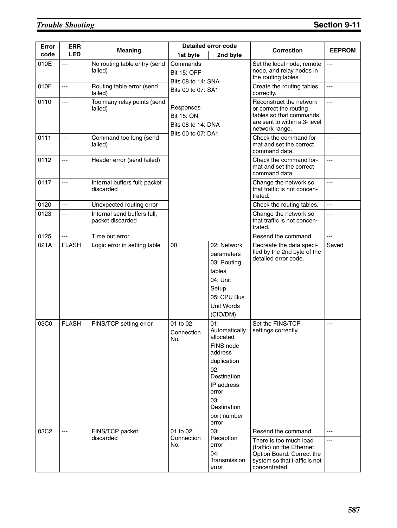# **Trouble Shooting Section 9-11**

| <b>Error</b> | <b>ERR</b>     |                                                 | <b>Detailed error code</b>                                                 |                                                                                                                                                                     | <b>Correction</b>                                                                                                                                         | <b>EEPROM</b>           |
|--------------|----------------|-------------------------------------------------|----------------------------------------------------------------------------|---------------------------------------------------------------------------------------------------------------------------------------------------------------------|-----------------------------------------------------------------------------------------------------------------------------------------------------------|-------------------------|
| code         | <b>LED</b>     | <b>Meaning</b>                                  | 1st byte                                                                   | 2nd byte                                                                                                                                                            |                                                                                                                                                           |                         |
| 010E         | $---$          | No routing table entry (send<br>failed)         | Commands<br><b>Bit 15: OFF</b><br>Bits 08 to 14: SNA                       |                                                                                                                                                                     | Set the local node, remote<br>node, and relay nodes in<br>the routing tables.                                                                             | $\overline{a}$          |
| 010F         | $\overline{a}$ | Routing table error (send<br>failed)            | Bits 00 to 07: SA1                                                         |                                                                                                                                                                     | Create the routing tables<br>correctly.                                                                                                                   | $\overline{a}$          |
| 0110         | $---$          | Too many relay points (send<br>failed)          | Responses<br><b>Bit 15: ON</b><br>Bits 08 to 14: DNA<br>Bits 00 to 07: DA1 |                                                                                                                                                                     | Reconstruct the network<br>or correct the routing<br>tables so that commands<br>are sent to within a 3- level<br>network range.                           | ---                     |
| 0111         | ---            | Command too long (send<br>failed)               |                                                                            |                                                                                                                                                                     | Check the command for-<br>mat and set the correct<br>command data.                                                                                        | $\overline{a}$          |
| 0112         | ---            | Header error (send failed)                      |                                                                            |                                                                                                                                                                     | Check the command for-<br>mat and set the correct<br>command data.                                                                                        | $-$                     |
| 0117         | $---$          | Internal buffers full; packet<br>discarded      |                                                                            |                                                                                                                                                                     | Change the network so<br>that traffic is not concen-<br>trated.                                                                                           | $\overline{a}$          |
| 0120         | $---$          | Unexpected routing error                        |                                                                            |                                                                                                                                                                     | Check the routing tables.                                                                                                                                 | $\overline{a}$          |
| 0123         | $---$          | Internal send buffers full;<br>packet discarded |                                                                            |                                                                                                                                                                     | Change the network so<br>that traffic is not concen-<br>trated.                                                                                           | $- - -$                 |
| 0125         | $\overline{a}$ | Time out error                                  |                                                                            |                                                                                                                                                                     | Resend the command.                                                                                                                                       | $-$                     |
| 021A         | <b>FLASH</b>   | Logic error in setting table                    | 00                                                                         | 02: Network<br>parameters<br>03: Routing<br>tables<br>04: Unit<br>Setup<br>05: CPU Bus<br><b>Unit Words</b><br>(CIO/DM)                                             | Recreate the data speci-<br>fied by the 2nd byte of the<br>detailed error code.                                                                           | Saved                   |
| 03C0         | <b>FLASH</b>   | FINS/TCP setting error                          | 01 to 02:<br>Connection<br>No.                                             | 01:<br>Automatically<br>allocated<br>FINS node<br>address<br>duplication<br>02:<br>Destination<br>IP address<br>error<br>03:<br>Destination<br>port number<br>error | Set the FINS/TCP<br>settings correctly.                                                                                                                   | ---                     |
| 03C2         | ---            | FINS/TCP packet<br>discarded                    | 01 to 02:<br>Connection<br>No.                                             | 03:<br>Reception<br>error<br>04:<br>Transmission<br>error                                                                                                           | Resend the command.<br>There is too much load<br>(traffic) on the Ethernet<br>Option Board. Correct the<br>system so that traffic is not<br>concentrated. | $\overline{a}$<br>$---$ |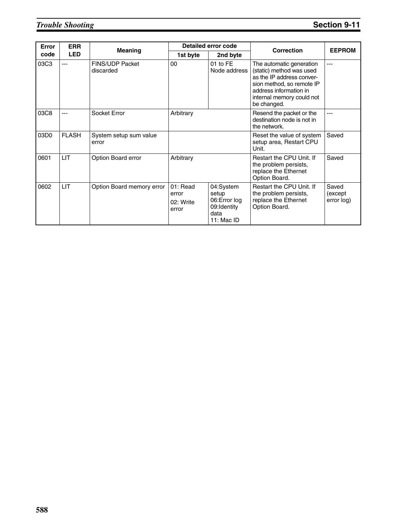# *Trouble Shooting* **Section 9-11**

| Error | <b>ERR</b>   | <b>Meaning</b>                      | Detailed error code                     |                                                                          | <b>Correction</b>                                                                                                                                                                    | <b>EEPROM</b>                  |
|-------|--------------|-------------------------------------|-----------------------------------------|--------------------------------------------------------------------------|--------------------------------------------------------------------------------------------------------------------------------------------------------------------------------------|--------------------------------|
| code  | <b>LED</b>   |                                     | 1st byte                                | 2nd byte                                                                 |                                                                                                                                                                                      |                                |
| 03C3  | ---          | <b>FINS/UDP Packet</b><br>discarded | 00                                      | 01 to FE<br>Node address                                                 | The automatic generation<br>(static) method was used<br>as the IP address conver-<br>sion method, so remote IP<br>address information in<br>internal memory could not<br>be changed. | $---$                          |
| 03C8  |              | Socket Error                        | Arbitrary                               |                                                                          | Resend the packet or the<br>destination node is not in<br>the network.                                                                                                               |                                |
| 03D0  | <b>FLASH</b> | System setup sum value<br>error     |                                         |                                                                          | Reset the value of system<br>setup area, Restart CPU<br>Unit.                                                                                                                        | Saved                          |
| 0601  | <b>LIT</b>   | Option Board error                  | Arbitrary                               |                                                                          | Restart the CPU Unit. If<br>the problem persists,<br>replace the Ethernet<br>Option Board.                                                                                           | Saved                          |
| 0602  | <b>LIT</b>   | Option Board memory error           | 01: Read<br>error<br>02: Write<br>error | 04:System<br>setup<br>06: Error log<br>09:Identity<br>data<br>11: Mac ID | Restart the CPU Unit. If<br>the problem persists,<br>replace the Ethernet<br>Option Board.                                                                                           | Saved<br>(except<br>error log) |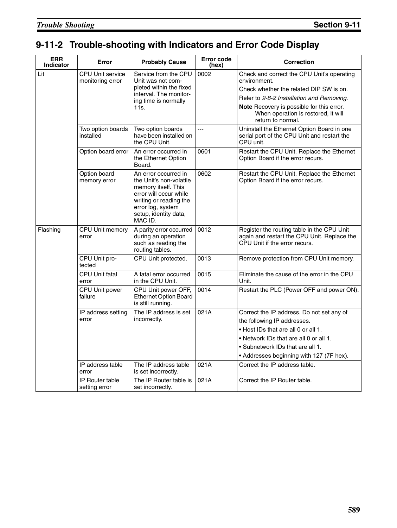# **9-11-2 Trouble-shooting with Indicators and Error Code Display**

| <b>ERR</b><br><b>Indicator</b> | Error                                       | <b>Probably Cause</b>                                                                                                                                                               | <b>Error code</b><br>(hex) | <b>Correction</b>                                                                                                                                                                                                                                                  |
|--------------------------------|---------------------------------------------|-------------------------------------------------------------------------------------------------------------------------------------------------------------------------------------|----------------------------|--------------------------------------------------------------------------------------------------------------------------------------------------------------------------------------------------------------------------------------------------------------------|
| Lit                            | <b>CPU Unit service</b><br>monitoring error | Service from the CPU<br>Unit was not com-<br>pleted within the fixed<br>interval. The monitor-<br>ing time is normally<br>11s.                                                      | 0002                       | Check and correct the CPU Unit's operating<br>environment.<br>Check whether the related DIP SW is on.<br>Refer to 9-8-2 Installation and Removing.<br><b>Note</b> Recovery is possible for this error.<br>When operation is restored, it will<br>return to normal. |
|                                | Two option boards<br>installed              | Two option boards<br>have been installed on<br>the CPU Unit.                                                                                                                        | $\overline{a}$             | Uninstall the Ethernet Option Board in one<br>serial port of the CPU Unit and restart the<br>CPU unit.                                                                                                                                                             |
|                                | Option board error                          | An error occurred in<br>the Ethernet Option<br>Board.                                                                                                                               | 0601                       | Restart the CPU Unit. Replace the Ethernet<br>Option Board if the error recurs.                                                                                                                                                                                    |
|                                | Option board<br>memory error                | An error occurred in<br>the Unit's non-volatile<br>memory itself. This<br>error will occur while<br>writing or reading the<br>error log, system<br>setup, identity data,<br>MAC ID. | 0602                       | Restart the CPU Unit. Replace the Ethernet<br>Option Board if the error recurs.                                                                                                                                                                                    |
| Flashing                       | CPU Unit memory<br>error                    | A parity error occurred<br>during an operation<br>such as reading the<br>routing tables.                                                                                            | 0012                       | Register the routing table in the CPU Unit<br>again and restart the CPU Unit. Replace the<br>CPU Unit if the error recurs.                                                                                                                                         |
|                                | CPU Unit pro-<br>tected                     | CPU Unit protected.                                                                                                                                                                 | 0013                       | Remove protection from CPU Unit memory.                                                                                                                                                                                                                            |
|                                | <b>CPU Unit fatal</b><br>error              | A fatal error occurred<br>in the CPU Unit.                                                                                                                                          | 0015                       | Eliminate the cause of the error in the CPU<br>Unit.                                                                                                                                                                                                               |
|                                | CPU Unit power<br>failure                   | CPU Unit power OFF,<br><b>Ethernet Option Board</b><br>is still running.                                                                                                            | 0014                       | Restart the PLC (Power OFF and power ON).                                                                                                                                                                                                                          |
|                                | IP address setting<br>error                 | The IP address is set<br>incorrectly.                                                                                                                                               | 021A                       | Correct the IP address. Do not set any of<br>the following IP addresses.<br>• Host IDs that are all 0 or all 1.<br>• Network IDs that are all 0 or all 1.<br>• Subnetwork IDs that are all 1.<br>• Addresses beginning with 127 (7F hex).                          |
|                                | IP address table<br>error                   | The IP address table<br>is set incorrectly.                                                                                                                                         | 021A                       | Correct the IP address table.                                                                                                                                                                                                                                      |
|                                | <b>IP Router table</b><br>setting error     | The IP Router table is<br>set incorrectly.                                                                                                                                          | 021A                       | Correct the IP Router table.                                                                                                                                                                                                                                       |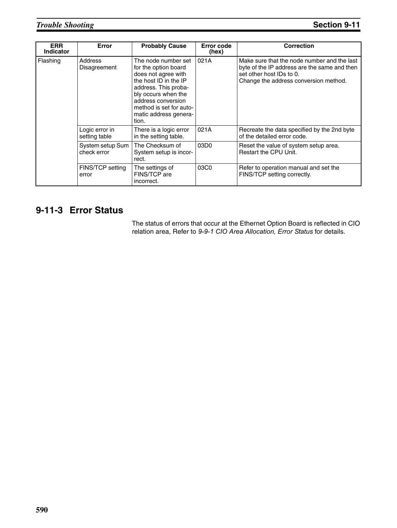| <b>ERR</b><br><b>Indicator</b> | Error                           | <b>Probably Cause</b>                                                                                                                                                                                                         | Error code<br>(hex) | <b>Correction</b>                                                                                                                                                |
|--------------------------------|---------------------------------|-------------------------------------------------------------------------------------------------------------------------------------------------------------------------------------------------------------------------------|---------------------|------------------------------------------------------------------------------------------------------------------------------------------------------------------|
| Flashing                       | Address<br>Disagreement         | The node number set<br>for the option board<br>does not agree with<br>the host ID in the IP<br>address. This proba-<br>bly occurs when the<br>address conversion<br>method is set for auto-<br>matic address genera-<br>tion. | 021A                | Make sure that the node number and the last<br>byte of the IP address are the same and then<br>set other host IDs to 0.<br>Change the address conversion method. |
|                                | Logic error in<br>setting table | There is a logic error<br>in the setting table.                                                                                                                                                                               | 021A                | Recreate the data specified by the 2nd byte<br>of the detailed error code.                                                                                       |
|                                | System setup Sum<br>check error | The Checksum of<br>System setup is incor-<br>rect.                                                                                                                                                                            | 03D <sub>0</sub>    | Reset the value of system setup area.<br><b>Restart the CPU Unit.</b>                                                                                            |
|                                | FINS/TCP setting<br>error       | The settings of<br>FINS/TCP are<br>incorrect.                                                                                                                                                                                 | 03C0                | Refer to operation manual and set the<br>FINS/TCP setting correctly.                                                                                             |

# **9-11-3 Error Status**

The status of errors that occur at the Ethernet Option Board is reflected in CIO relation area, Refer to 9-9-1 CIO Area Allocation, Error Status for details.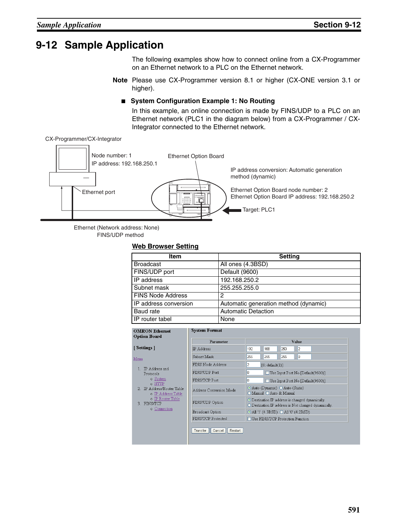# **9-12 Sample Application**

The following examples show how to connect online from a CX-Programmer on an Ethernet network to a PLC on the Ethernet network.

**Note** Please use CX-Programmer version 8.1 or higher (CX-ONE version 3.1 or higher).

#### ■ System Configuration Example 1: No Routing

In this example, an online connection is made by FINS/UDP to a PLC on an Ethernet network (PLC1 in the diagram below) from a CX-Programmer / CX-Integrator connected to the Ethernet network.

CX-Programmer/CX-Integrator



Ethernet (Network address: None) FINS/UDP method

#### **Web Browser Setting**

| Item                     | <b>Setting</b>                        |
|--------------------------|---------------------------------------|
| <b>Broadcast</b>         | All ones (4.3BSD)                     |
| FINS/UDP port            | Default (9600)                        |
| IP address               | 192.168.250.2                         |
| Subnet mask              | 255.255.255.0                         |
| <b>FINS Node Address</b> | 2                                     |
| IP address conversion    | Automatic generation method (dynamic) |
| Baud rate                | <b>Automatic Detaction</b>            |
| IP router tabel          | None                                  |

|                                               | Parameter               | Value                                                                                                                   |
|-----------------------------------------------|-------------------------|-------------------------------------------------------------------------------------------------------------------------|
| [Settings]                                    | <b>IP</b> Address       | 168<br>250<br>12<br>192                                                                                                 |
| Menu                                          | Subnet Mask             | 255<br>255<br>Iо<br>255                                                                                                 |
|                                               | FINS Node Address       | 2<br>[0: default(1)]                                                                                                    |
| 1. IP Address and<br>Protocols                | FINS/UDP Port           | O<br>Use Input Port No [Default(9600)]                                                                                  |
| o System<br>$\circ$ HTTP                      | <b>FINS/TCP Port</b>    | o<br>Use Input Port No [Default(9600)]                                                                                  |
| IP Address/Router Table<br>o IP Address Table | Address Conversion Mode | Auto (Dynamic) Auto (Static)<br>O Manual O Auto & Manual                                                                |
| o IP Router Table<br>FINS/TCP                 | FINS/UDP Option         | $\odot$ Destination IP address is changed dynamically.<br>$\bigcirc$ Destination IP address is Not changed dynamically. |
| o Connection                                  | Broadcast Option        | $\odot$ All '1' (4.3BSD) $\odot$ All '0' (4.2BSD)                                                                       |
|                                               | FINS/TCP Protected      | □ Use FINS/TCP Protection Function                                                                                      |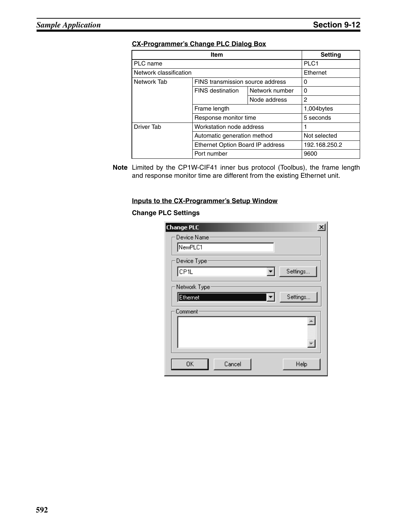#### **CX-Programmer's Change PLC Dialog Box**

|                        | <b>Setting</b>                   |                |                |  |  |
|------------------------|----------------------------------|----------------|----------------|--|--|
| PLC name               |                                  |                |                |  |  |
| Network classification | Ethernet                         |                |                |  |  |
| Network Tab            | FINS transmission source address |                | 0              |  |  |
|                        | <b>FINS</b> destination          | Network number | 0              |  |  |
|                        |                                  | Node address   | $\overline{c}$ |  |  |
|                        | Frame length                     |                | 1,004bytes     |  |  |
|                        | Response monitor time            |                | 5 seconds      |  |  |
| Driver Tab             | Workstation node address         |                |                |  |  |
|                        | Automatic generation method      |                | Not selected   |  |  |
|                        | Ethernet Option Board IP address |                | 192.168.250.2  |  |  |
|                        | Port number                      |                | 9600           |  |  |

**Note** Limited by the CP1W-CIF41 inner bus protocol (Toolbus), the frame length and response monitor time are different from the existing Ethernet unit.

#### **Inputs to the CX-Programmer's Setup Window**

#### **Change PLC Settings**

| <b>Change PLC</b>      |  |
|------------------------|--|
| Device Name:           |  |
| NewPLC1                |  |
| Device Type            |  |
| CP1L<br>Settings<br>▾╎ |  |
| Network Type:          |  |
| Settings<br>Ethernet   |  |
| Comment                |  |
|                        |  |
|                        |  |
| 0K<br>Cancel<br>Help   |  |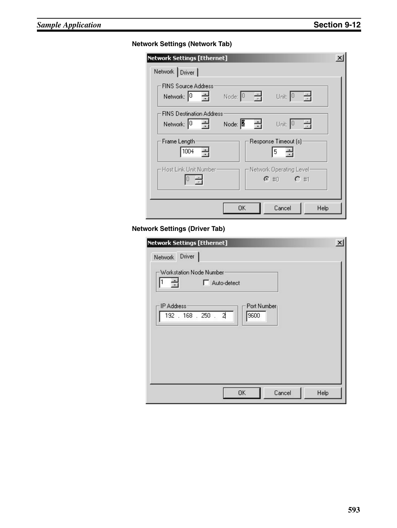### **Network Settings (Network Tab)**

| Network Settings [Ethernet]                                                                                                                                                                 | × |
|---------------------------------------------------------------------------------------------------------------------------------------------------------------------------------------------|---|
| Network Driver                                                                                                                                                                              |   |
| <b>FINS Source Address</b><br>Network: $\begin{bmatrix} 0 & -1 \\ -1 & 0 \end{bmatrix}$<br>Node: $\begin{bmatrix} 0 & \frac{\pi}{\pi} \end{bmatrix}$<br>Unit: $0 - \frac{1}{ x }$           |   |
| <b>FINS Destination Address</b><br>Unit: $\boxed{0 - \frac{1}{\pi}}$<br>Network: $\begin{bmatrix} 0 & -1 \\ -1 & 0 \end{bmatrix}$<br>Node: $\begin{bmatrix} 2 & -1 \\ -1 & 1 \end{bmatrix}$ |   |
| Frame Length:<br>Response Timeout [s]:<br>1004<br>싂<br>5                                                                                                                                    |   |
| -Host Link Unit Number<br>- Network Operating Level<br>$C$ #0 $C$ #1<br>곡                                                                                                                   |   |
| Cancel<br>0K.<br>Help                                                                                                                                                                       |   |

### **Network Settings (Driver Tab)**

| <b>Network Settings [Ethernet]</b>                              | $\times$ |
|-----------------------------------------------------------------|----------|
| Driver  <br>Network                                             |          |
| Workstation Node Number<br>싁<br>Auto-detect                     |          |
| <b>IP Address</b><br>Port Number<br>192 . 168 . 250 . 2<br>9600 |          |
| Cancel<br>Help<br>OK                                            |          |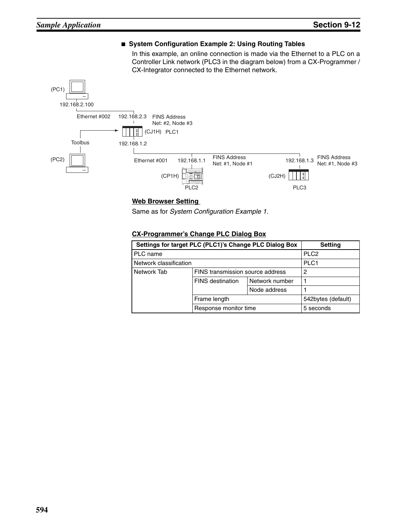

#### ■ System Configuration Example 2: Using Routing Tables

#### **Web Browser Setting**

Same as for *System Configuration Example 1*.

#### **CX-Programmer's Change PLC Dialog Box**

|                        | Settings for target PLC (PLC1)'s Change PLC Dialog Box<br><b>Setting</b> |                  |                    |  |  |
|------------------------|--------------------------------------------------------------------------|------------------|--------------------|--|--|
| PLC name               | PLC <sub>2</sub>                                                         |                  |                    |  |  |
| Network classification |                                                                          | PLC <sub>1</sub> |                    |  |  |
| Network Tab            | FINS transmission source address                                         |                  | 2                  |  |  |
|                        | <b>FINS</b> destination                                                  | Network number   |                    |  |  |
|                        |                                                                          | Node address     |                    |  |  |
|                        | Frame length                                                             |                  | 542bytes (default) |  |  |
|                        | Response monitor time                                                    |                  | 5 seconds          |  |  |